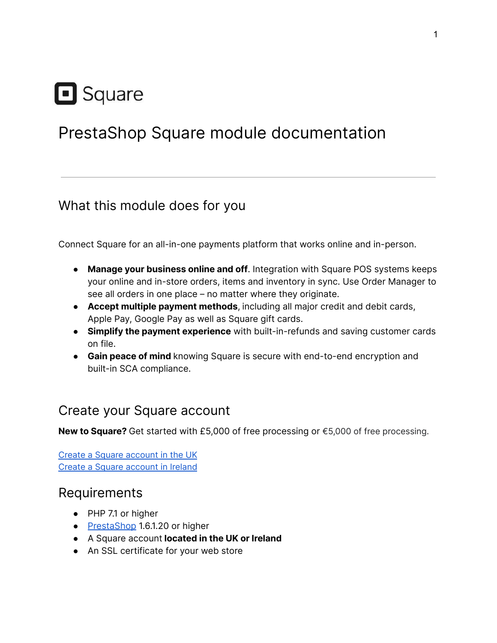# Square

## PrestaShop Square module documentation

#### What this module does for you

Connect Square for an all-in-one payments platform that works online and in-person.

- **Manage your business online and off**. Integration with Square POS systems keeps your online and in-store orders, items and inventory in sync. Use Order Manager to see all orders in one place – no matter where they originate.
- **Accept multiple payment methods**, including all major credit and debit cards, Apple Pay, Google Pay as well as Square gift cards.
- **Simplify the payment experience** with built-in-refunds and saving customer cards on file.
- **Gain peace of mind** knowing Square is secure with end-to-end encryption and built-in SCA compliance.

#### Create your Square account

**New to Square?** Get started with £5,000 of free processing or €5,000 of free processing.

Create a Square [account](http://squareup.com/go/prestashop-uk) in the UK Create a Square [account](http://squareup.com/go/prestashop-ireland) in Ireland

## Requirements

- PHP 7.1 or higher
- [PrestaShop](https://www.prestashop.com/en/versions) 1.6.1.20 or higher
- A Square account **located in the UK or Ireland**
- An SSL certificate for your web store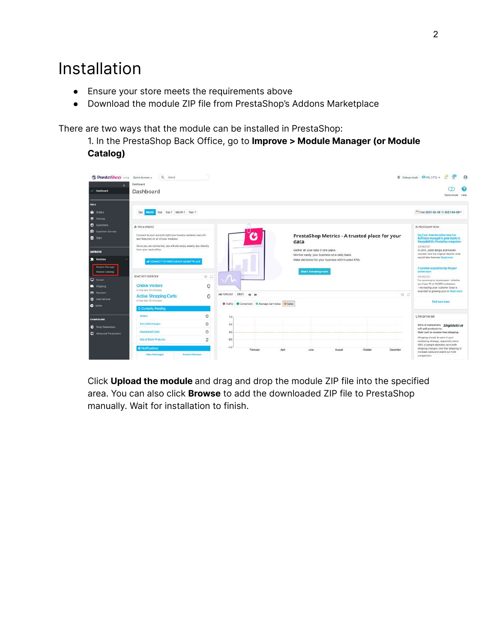## Installation

- Ensure your store meets the requirements above
- Download the module ZIP file from PrestaShop's Addons Marketplace

There are two ways that the module can be installed in PrestaShop:

1. In the PrestaShop Back Office, go to **Improve > Module Manager (or Module Catalog)**



Click **Upload the module** and drag and drop the module ZIP file into the specified area. You can also click **Browse** to add the downloaded ZIP file to PrestaShop manually. Wait for installation to finish.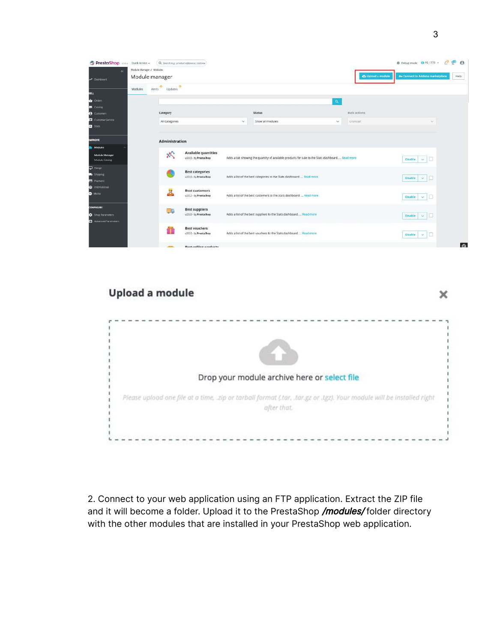| PrestaShop 1.73. Quick Access -  |                           |                                           | Q. Smrth (e.g.: product reference, custome)           |        |                                                                                                 |                |                    | 49<br>Debug mode O PS 1773 +                  |
|----------------------------------|---------------------------|-------------------------------------------|-------------------------------------------------------|--------|-------------------------------------------------------------------------------------------------|----------------|--------------------|-----------------------------------------------|
| ×.                               | Module Manager J. Modules |                                           |                                                       |        |                                                                                                 |                |                    |                                               |
| A Dashboard                      |                           | Module manager                            |                                                       |        |                                                                                                 |                | Ca Upload a module | O+ Connect to Addons marketplace              |
|                                  | Modules                   | e<br>$\bullet$<br>Updates<br><b>Nerts</b> |                                                       |        |                                                                                                 |                |                    |                                               |
|                                  |                           |                                           |                                                       |        |                                                                                                 |                |                    |                                               |
| $\triangle$ orders               |                           |                                           |                                                       |        |                                                                                                 | $\mathbf{Q}_i$ |                    |                                               |
| <b>Citrolog</b>                  |                           |                                           |                                                       |        |                                                                                                 |                |                    |                                               |
| <b>B</b> Customers               |                           | Category                                  |                                                       |        | <b>Status</b>                                                                                   |                | <b>Bulkactions</b> |                                               |
| Customer Service                 |                           | All Categories                            |                                                       | $\sim$ | Show all modules                                                                                | $\omega$       | Uninstall          | v                                             |
| <b>B</b> State                   |                           |                                           |                                                       |        |                                                                                                 |                |                    |                                               |
| <b>MPROVE</b>                    |                           | <b>Administration</b>                     |                                                       |        |                                                                                                 |                |                    |                                               |
| Modules.                         |                           |                                           |                                                       |        |                                                                                                 |                |                    |                                               |
| Module Manager<br>Module Catalog |                           | 欢                                         | <b>Available quantities</b><br>u2.0.0 - by PrestaShop |        | Adds a tab showing the quantity of available products for sale to the Stats dashboard Road more |                |                    | E<br>$\mathbf{v}$<br><b>Disable</b>           |
| $\Box$ Design                    |                           |                                           |                                                       |        |                                                                                                 |                |                    |                                               |
| <b>B</b> Shigping                |                           |                                           | <b>Best categories</b><br>u2.0.0 - by PrestaShop      |        | Adds a list of the best categories to the Stats dashboard.  Read more                           |                |                    | <b>Disable</b><br>$\mathcal{Q}_{\mathcal{A}}$ |
| <b>B</b> Payment                 |                           |                                           |                                                       |        |                                                                                                 |                |                    |                                               |
| <b>Co</b> International          |                           | B                                         | <b>Best customers</b>                                 |        |                                                                                                 |                |                    |                                               |
| <b>Molte</b>                     |                           |                                           | v2.0.2 - by PrestaShop                                |        | Adds a list of the best customers to the Stats dashboard. _ Read more:                          |                |                    | o<br>Disable<br>$\dot{\mathbf{v}}$ .          |
| <b>CONFIGURE</b>                 |                           | $\equiv$ 10                               | <b>Best suppliers</b>                                 |        |                                                                                                 |                |                    |                                               |
| Shop Farameters                  |                           |                                           | v2.0.0 - by PrestaShop                                |        | Adds a list of the best suppliers to the Stats dashboard Read more                              |                |                    | Disable<br>$\omega$                           |
| Advanced Parameters              |                           |                                           |                                                       |        |                                                                                                 |                |                    |                                               |
|                                  |                           | ñ                                         | <b>Best vouchers</b>                                  |        |                                                                                                 |                |                    |                                               |
|                                  |                           |                                           | u2.0.0 - by PrestaShop                                |        | Adds a list of the best vouchers to the Stats dashboard Read more                               |                |                    | Ð<br><b>Disable</b><br>$\mathcal{L}$          |
|                                  |                           |                                           | 정부 사람들은 이렇게 어떻게 되었어? 이 작품은 모습                         |        |                                                                                                 |                |                    |                                               |

# Upload a module

Drop your module archive here or select file Please upload one file at a time, zip or tarball format (tar, tar.gz or tgz). Your module will be installed right after that.

2. Connect to your web application using an FTP application. Extract the ZIP file and it will become a folder. Upload it to the PrestaShop /modules/ folder directory with the other modules that are installed in your PrestaShop web application.

 $\times$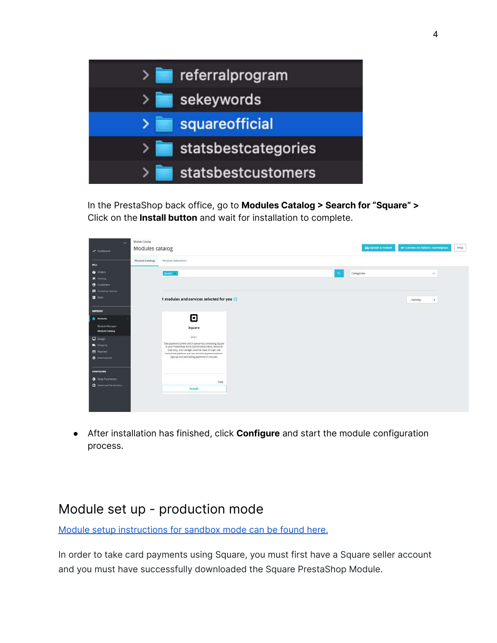

In the PrestaShop back office, go to **Modules Catalog > Search for "Square" >** Click on the **Install button** and wait for installation to complete.

| $\ll$                                   | Module Catalog  |                                                                                                                   |                            |                                          |
|-----------------------------------------|-----------------|-------------------------------------------------------------------------------------------------------------------|----------------------------|------------------------------------------|
| M Distributed                           | Modules catalog |                                                                                                                   | to Upload a module         | Or Connect to Addnns marketplace<br>Help |
| <b>SELL</b>                             | Module Catalog  | Module Selections                                                                                                 |                            |                                          |
| <b>O</b> Drawn                          |                 | square (s)                                                                                                        | Categories<br>$\mathbf{a}$ | $\sim$                                   |
| <b>E</b> Catalog                        |                 |                                                                                                                   |                            |                                          |
| $\theta$ Columbia                       |                 |                                                                                                                   |                            |                                          |
| Customer Service                        |                 |                                                                                                                   |                            |                                          |
| <b>n</b> stats                          |                 | 1 modules and services selected for you                                                                           |                            | · Sort by -<br>٠                         |
| <b>IMPROVE</b>                          |                 |                                                                                                                   |                            |                                          |
| Modules                                 |                 | Θ                                                                                                                 |                            |                                          |
| Module Manager<br><b>Module Catalog</b> |                 | Square                                                                                                            |                            |                                          |
| C Design                                |                 | VED.T                                                                                                             |                            |                                          |
| <b>B</b> Shipping                       |                 | Take payments online and in person by connecting Square<br>to your PrestaShop store. Synchronise orders, reconcle |                            |                                          |
| <b>B</b> Payment                        |                 | Inventory, and manage customer clata through one<br>centralned platform and one intuitive payment solution.       |                            |                                          |
| <b>C</b> International                  |                 | Sign up and start taking payments in minutes.                                                                     |                            |                                          |
| <b>CONFIGURE</b>                        |                 |                                                                                                                   |                            |                                          |
| <b>Q</b> Shop Parameters                |                 |                                                                                                                   |                            |                                          |
| <b>C</b> Advanced Parameters            |                 | Free<br>Install                                                                                                   |                            |                                          |

● After installation has finished, click **Configure** and start the module configuration process.

## Module set up - production mode

Module setup [instructions](#page-23-0) for sandbox mode can be found here.

In order to take card payments using Square, you must first have a Square seller account and you must have successfully downloaded the Square PrestaShop Module.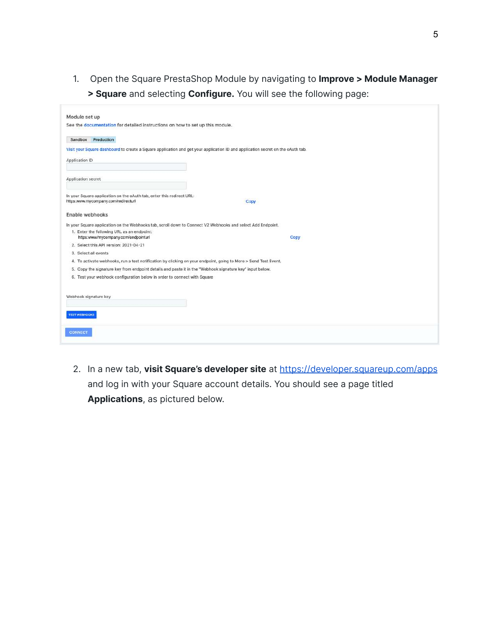1. Open the Square PrestaShop Module by navigating to **Improve > Module Manager > Square** and selecting **Configure.** You will see the following page:

| Module set up                                                                                                                   |      |
|---------------------------------------------------------------------------------------------------------------------------------|------|
| See the documentation for detailed instructions on how to set up this module.                                                   |      |
| Sandbox Production                                                                                                              |      |
| Visit your Square dashboard to create a Square application and get your application ID and application secret on the oAuth tab. |      |
| Application ID                                                                                                                  |      |
| Application secret                                                                                                              |      |
| In your Square application on the oAuth tab, enter this redirect URL:<br>https:www.mycompany.com/redirecturl                    | Copy |
| Enable webhooks                                                                                                                 |      |
| In your Square application on the Webhooks tab, scroll down to Connect V2 Webhooks and select Add Endpoint.                     |      |
| 1. Enter the following URL as an endpoint:<br>https:www/mycompany.com/endpointurl                                               | Copy |
| 2. Select this API version: 2021-04-21                                                                                          |      |
| 3. Select all events                                                                                                            |      |
| 4. To activate webhooks, run a test notification by clicking on your endpoint, going to More > Send Test Event.                 |      |
| 5. Copy the signature key from endpoint details and paste it in the "Webhook signature key" input below.                        |      |
| 6. Test your webhook configuration below in order to connect with Square                                                        |      |
| Webhook signature key                                                                                                           |      |
| <b>TEST WEBHOOKS</b>                                                                                                            |      |
| <b>CONNECT</b>                                                                                                                  |      |
|                                                                                                                                 |      |

2. In a new tab, **visit Square's developer site** at <https://developer.squareup.com/apps> and log in with your Square account details. You should see a page titled **Applications**, as pictured below.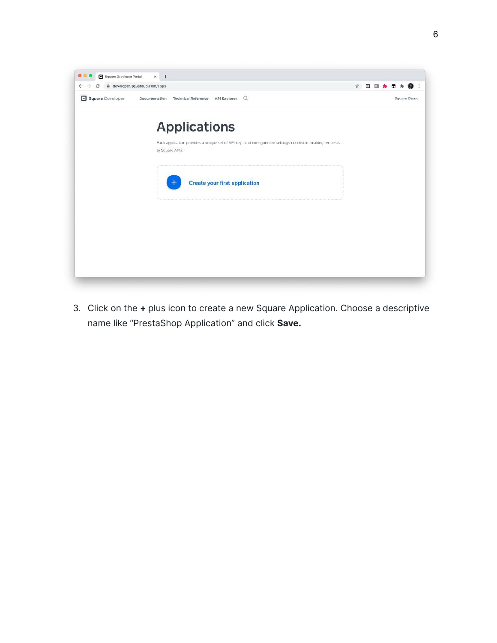

3. Click on the **+** plus icon to create a new Square Application. Choose a descriptive name like "PrestaShop Application" and click **Save.**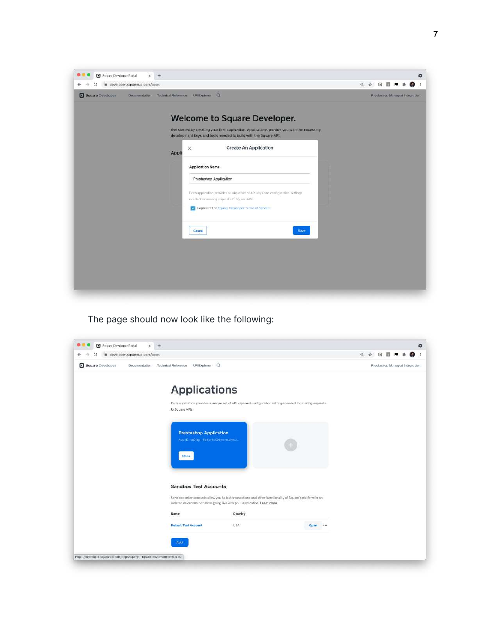| ii developer.squareup.com/apps<br>$\leftarrow$                                                                                                                                                                                                                                                                                                                                                                                                                                                                  | $\Theta$ | ☆ | $\Box$ | 抑                              | $\bullet$ |
|-----------------------------------------------------------------------------------------------------------------------------------------------------------------------------------------------------------------------------------------------------------------------------------------------------------------------------------------------------------------------------------------------------------------------------------------------------------------------------------------------------------------|----------|---|--------|--------------------------------|-----------|
| Square Developer<br>Documentation Technical Reference API Explorer Q                                                                                                                                                                                                                                                                                                                                                                                                                                            |          |   |        | Prestashep Managed Integration |           |
| Welcome to Square Developer.<br>Get started by creating your first application. Applications provide you with the necessary<br>development keys and tools needed to build with the Square API.<br><b>Create An Application</b><br>$\times$<br>Appli<br><b>Application Name</b><br>Prestashop Application<br>Each application provides a unique set of API keys and configuration settings<br>needed for making requests to Square APIs.<br>V I agree to the Square Developer Terms of Service<br>Save<br>Cancol |          |   |        |                                |           |

The page should now look like the following:

| ii developer.squareup.com/apps    |                                                                               |                                                                                                                                                                                       |          | $\Theta$<br>÷ | $\Box$                         |  |  |
|-----------------------------------|-------------------------------------------------------------------------------|---------------------------------------------------------------------------------------------------------------------------------------------------------------------------------------|----------|---------------|--------------------------------|--|--|
| Square Developer<br>Documentation | API Explorer: Q<br><b>Tachnical Reference</b>                                 |                                                                                                                                                                                       |          |               | Prestashop Managed Integration |  |  |
|                                   | <b>Applications</b>                                                           |                                                                                                                                                                                       |          |               |                                |  |  |
|                                   | to Square APIs.                                                               | Each application provides a unique set of API keys and configuration settings needed for making requests                                                                              |          |               |                                |  |  |
|                                   | <b>Prestashop Application</b><br>App ID: sm0(dp -- 6p4by1clQGmermomx2<br>Open |                                                                                                                                                                                       |          |               |                                |  |  |
|                                   | <b>Sandbox Test Accounts</b>                                                  | Sandbox seller accounts allow you to test transactions and other functionality of Square's platform in an<br>isolated environment before going live with your application. Learn more |          |               |                                |  |  |
|                                   | Name                                                                          | Country                                                                                                                                                                               |          |               |                                |  |  |
|                                   | <b>Default Test Account</b>                                                   | USA                                                                                                                                                                                   | Open *** |               |                                |  |  |
|                                   | Add                                                                           |                                                                                                                                                                                       |          |               |                                |  |  |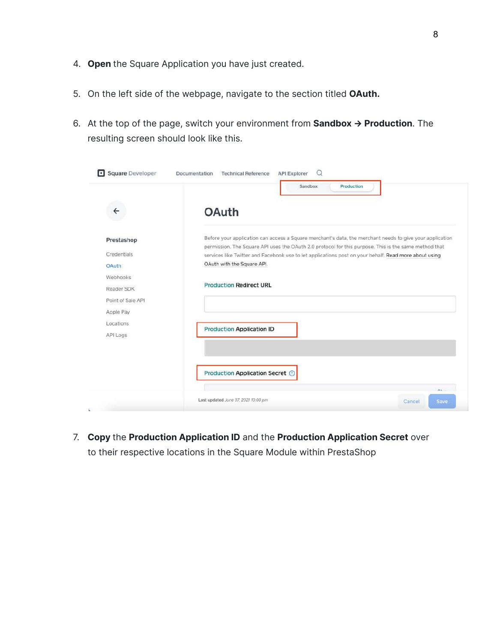- 4. **Open** the Square Application you have just created.
- 5. On the left side of the webpage, navigate to the section titled **OAuth.**
- 6. At the top of the page, switch your environment from **Sandbox → Production**. The resulting screen should look like this.

|                   | Sandbox<br>Production                                                                                                                                                                                             |  |
|-------------------|-------------------------------------------------------------------------------------------------------------------------------------------------------------------------------------------------------------------|--|
| $\leftarrow$      | <b>OAuth</b>                                                                                                                                                                                                      |  |
|                   |                                                                                                                                                                                                                   |  |
| Prestashop        | Before your application can access a Square merchant's data, the merchant needs to give your application<br>permission. The Square API uses the OAuth 2.0 protocol for this purpose. This is the same method that |  |
| Credentials       | services like Twitter and Facebook use to let applications post on your behalf. Read more about using                                                                                                             |  |
| <b>OAuth</b>      | OAuth with the Square API.                                                                                                                                                                                        |  |
| Webhooks          |                                                                                                                                                                                                                   |  |
| Reader SDK        | <b>Production Redirect URL</b>                                                                                                                                                                                    |  |
| Point of Sale API |                                                                                                                                                                                                                   |  |
| Apple Pay         |                                                                                                                                                                                                                   |  |
| Locations         |                                                                                                                                                                                                                   |  |
| API Logs          | <b>Production Application ID</b>                                                                                                                                                                                  |  |
|                   |                                                                                                                                                                                                                   |  |
|                   | Production Application Secret ©                                                                                                                                                                                   |  |
|                   |                                                                                                                                                                                                                   |  |

7. **Copy** the **Production Application ID** and the **Production Application Secret** over to their respective locations in the Square Module within PrestaShop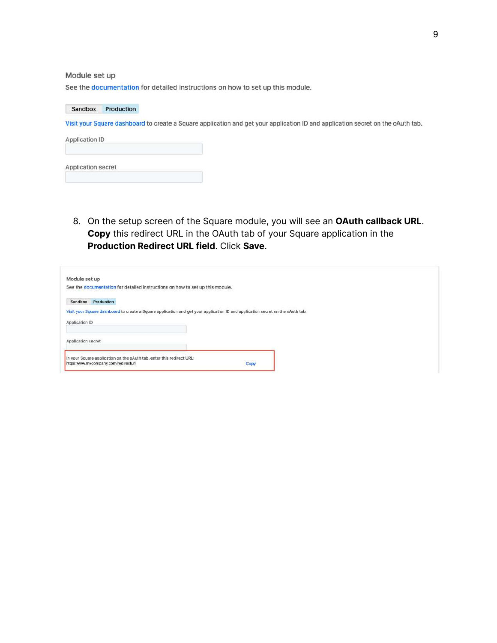#### Module set up

See the documentation for detailed instructions on how to set up this module.

#### Sandbox Production

Visit your Square dashboard to create a Square application and get your application ID and application secret on the oAuth tab.

| <b>Application ID</b> |  |
|-----------------------|--|
| Application secret    |  |

8. On the setup screen of the Square module, you will see an **OAuth callback URL**. **Copy** this redirect URL in the OAuth tab of your Square application in the **Production Redirect URL field**. Click **Save**.

| Module set up<br>See the documentation for detailed instructions on how to set up this module.                                  |  |  |
|---------------------------------------------------------------------------------------------------------------------------------|--|--|
| Sandbox Production                                                                                                              |  |  |
| Visit your Square dashboard to create a Square application and get your application ID and application secret on the oAuth tab. |  |  |
| Application ID                                                                                                                  |  |  |
| Application secret                                                                                                              |  |  |
|                                                                                                                                 |  |  |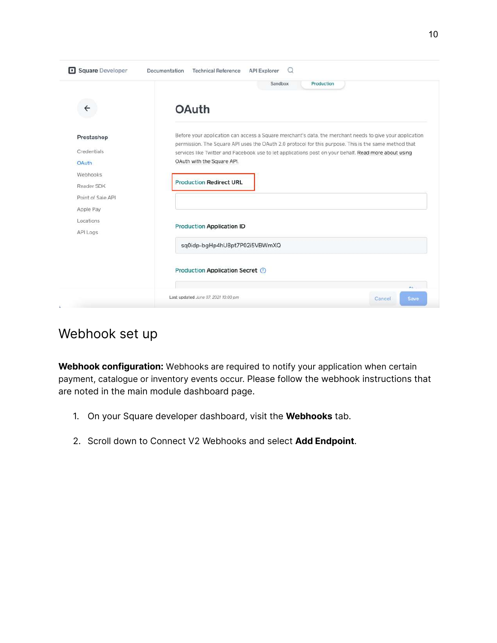|                                                                                                 | Production<br>Sandbox                                                                                                                                                                                                                                                                                                                                                                      |
|-------------------------------------------------------------------------------------------------|--------------------------------------------------------------------------------------------------------------------------------------------------------------------------------------------------------------------------------------------------------------------------------------------------------------------------------------------------------------------------------------------|
| ←                                                                                               | <b>OAuth</b>                                                                                                                                                                                                                                                                                                                                                                               |
| Prestashop<br>Credentials<br><b>OAuth</b><br><b>Webhooks</b><br>Reader SDK<br>Point of Sale API | Before your application can access a Square merchant's data, the merchant needs to give your application<br>permission. The Square API uses the OAuth 2.0 protocol for this purpose. This is the same method that<br>services like Twitter and Facebook use to let applications post on your behalf. Read more about using<br>OAuth with the Square API.<br><b>Production Redirect URL</b> |
| Apple Pay<br>Locations<br>API Logs                                                              | <b>Production Application ID</b><br>sq0idp-bgHp4hU8pt7P02i5VBWmXQ                                                                                                                                                                                                                                                                                                                          |
|                                                                                                 | Production Application Secret (2)                                                                                                                                                                                                                                                                                                                                                          |
|                                                                                                 |                                                                                                                                                                                                                                                                                                                                                                                            |

#### Webhook set up

**Webhook configuration:** W[ebhooks](https://developer.squareup.com/docs/webhooks/build-with-webhooks) are required to notify your application when certain payment, catalogue or inventory events occur. Please follow the webhook instructions that are noted in the main module dashboard page.

- 1. On your Square developer dashboard, visit the **Webhooks** tab.
- 2. Scroll down to Connect V2 Webhooks and select **Add Endpoint**.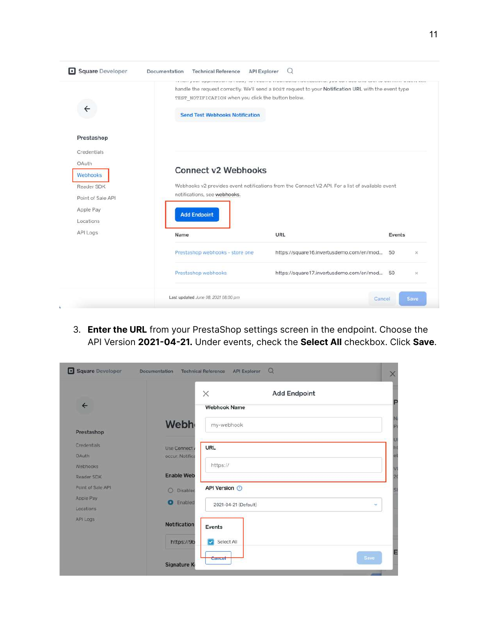| notifications, see webhooks.    |                                             |                                                                                                                               |
|---------------------------------|---------------------------------------------|-------------------------------------------------------------------------------------------------------------------------------|
| Name                            | URL                                         | Events                                                                                                                        |
| Prestashop webhooks - store one | https://square16.invertusdemo.com/en/mod    | 50<br>$\times$                                                                                                                |
| Prestashop webhooks             | https://square17.invertusdemo.com/en/mod 50 | ×                                                                                                                             |
|                                 | <b>Add Endpoint</b>                         | <b>Connect v2 Webhooks</b><br>Webhooks v2 provides event notifications from the Connect V2 API. For a list of available event |

3. **Enter the URL** from your PrestaShop settings screen in the endpoint. Choose the API Version **2021-04-21.** Under events, check the **Select All** checkbox. Click **Save**.

|                   |                            | $\times$<br><b>Add Endpoint</b> |   |
|-------------------|----------------------------|---------------------------------|---|
| $\leftarrow$      |                            | <b>Webhook Name</b>             |   |
| Prestashop        | <b>Webh</b>                | my-webhook                      |   |
| Credentials       | Use Connect                | URL                             |   |
| OAuth             | occur. Notifica            |                                 |   |
| Webhooks          |                            | https://                        |   |
| Reader SDK        | <b>Enable Web</b>          |                                 |   |
| Point of Sale API | $\circ$<br><b>Disabled</b> | API Version <sup>1</sup>        |   |
| Apple Pay         | Enabled<br>o.              |                                 |   |
| Locations         |                            | 2021-04-21 (Default)            | × |
| API Logs          | <b>Notification</b>        | Events                          |   |
|                   | https://9b                 | Select All                      |   |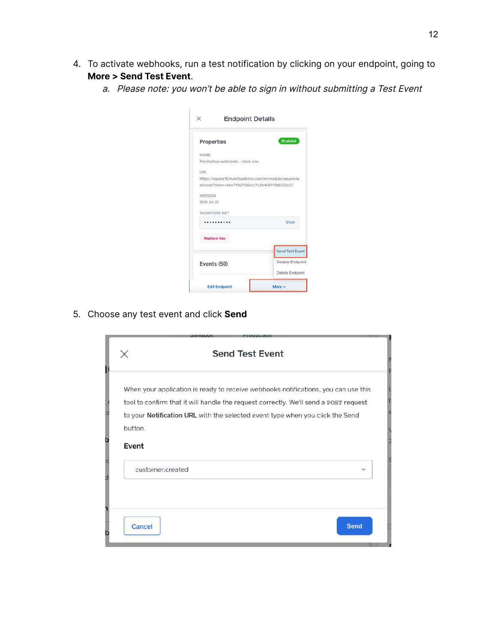- 4. To activate webhooks, run a test notification by clicking on your endpoint, going to **More > Send Test Event**.
	- a. Please note: you won't be able to sign in without submitting <sup>a</sup> Test Event

| <b>Endpoint Details</b>                              |                  |
|------------------------------------------------------|------------------|
| Properties                                           | Enabled          |
| NAME                                                 |                  |
| Prestashop webhooks - store one                      |                  |
| URL                                                  |                  |
| https://square16.invertusdemo.com/en/module/square/w |                  |
| ebhook?token=bbe7f0b7585ecf7c3b408178a8125e27        |                  |
| VERSION                                              |                  |
| 2021-04-21                                           |                  |
| SIGNATURE KEY                                        |                  |
|                                                      | Show             |
| <b>Replace Key</b>                                   |                  |
|                                                      | Send Test Event  |
| Events (50)                                          | Disable Endpoint |
|                                                      | Delete Endpoint  |
|                                                      |                  |

5. Choose any test event and click **Send**

|                  | <b>Send Test Event</b>                                                                                                                                                       |              |
|------------------|------------------------------------------------------------------------------------------------------------------------------------------------------------------------------|--------------|
|                  | When your application is ready to receive webhooks notifications, you can use this                                                                                           |              |
|                  | tool to confirm that it will handle the request correctly. We'll send a POST request<br>to your <b>Notification URL</b> with the selected event type when you click the Send |              |
| button.          |                                                                                                                                                                              |              |
| Event            |                                                                                                                                                                              |              |
| customer.created |                                                                                                                                                                              | $\checkmark$ |
|                  |                                                                                                                                                                              |              |
| Cancel           |                                                                                                                                                                              | Send         |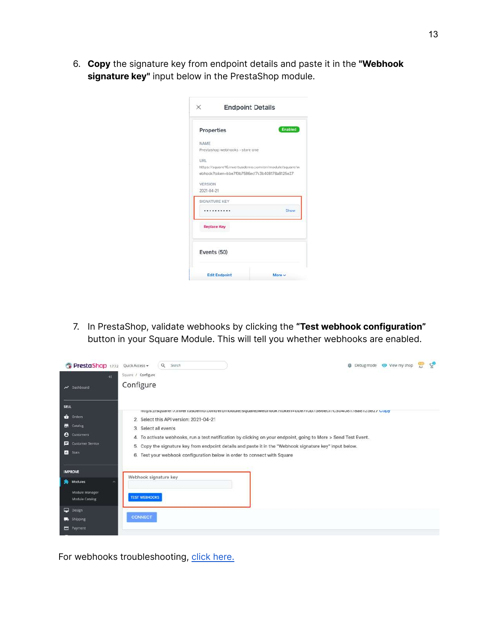6. **Copy** the signature key from endpoint details and paste it in the **"Webhook signature key"** input below in the PrestaShop module.

| Properties         |                                                      | Enabled |
|--------------------|------------------------------------------------------|---------|
| NAME               |                                                      |         |
|                    | Prestashop webhooks - store one                      |         |
| LIRL.              |                                                      |         |
|                    | https://square16.invertusdemo.com/en/module/square/w |         |
|                    | ebhook2token=bbe2f0b2586ecf7c3b408178a8125e27        |         |
| VERSION            |                                                      |         |
| 2021-04-21         |                                                      |         |
|                    |                                                      |         |
|                    |                                                      |         |
| SIGNATURE KEY      |                                                      |         |
| <b>Replace Key</b> |                                                      | Show    |
| Events (50)        |                                                      |         |

7. In PrestaShop, validate webhooks by clicking the **"Test webhook configuration"** button in your Square Module. This will tell you whether webhooks are enabled.

| <b>PrestaShop</b> 1.7.72                                                                             | Quick Access +<br>Square / Configure          | Q Search                               |                                                                          |                                                                                                                                                                                                                                                                                                                                    |  | <b>登</b> Debug mode ● View my shop | $\mathcal{L}_{\mathbf{0}}$ |
|------------------------------------------------------------------------------------------------------|-----------------------------------------------|----------------------------------------|--------------------------------------------------------------------------|------------------------------------------------------------------------------------------------------------------------------------------------------------------------------------------------------------------------------------------------------------------------------------------------------------------------------------|--|------------------------------------|----------------------------|
| $\infty$<br><b>Nº</b> Dashboard                                                                      | Configure                                     |                                        |                                                                          |                                                                                                                                                                                                                                                                                                                                    |  |                                    |                            |
| SELL<br><b>Orders</b><br><b>Catalog</b><br><b>e</b> Customers<br>Customer Service<br><b>II</b> Stats | 3. Select all events                          | 2. Select this API version: 2021-04-21 | 6. Test your webhook configuration below in order to connect with Square | mths://adners/mixeriusdemo.com/en/module/square/webhook/token=bbe/rob/pobecr/cop4oor/oao1zoez/ Gopy<br>4. To activate webhooks, run a test notification by clicking on your endpoint, going to More > Send Test Event.<br>5. Copy the signature key from endpoint details and paste it in the "Webhook signature key" input below. |  |                                    |                            |
| <b>IMPROVE</b><br>Modules<br>Module Manager<br><b>Module Catalog</b><br><b>Design</b>                | Webhook signature key<br><b>TEST WEBHOOKS</b> |                                        |                                                                          |                                                                                                                                                                                                                                                                                                                                    |  |                                    |                            |
| Shipping<br><b>E</b> Payment                                                                         | <b>CONNECT</b>                                |                                        |                                                                          |                                                                                                                                                                                                                                                                                                                                    |  |                                    |                            |

For webhooks troubleshooting, click [here.](#page-41-0)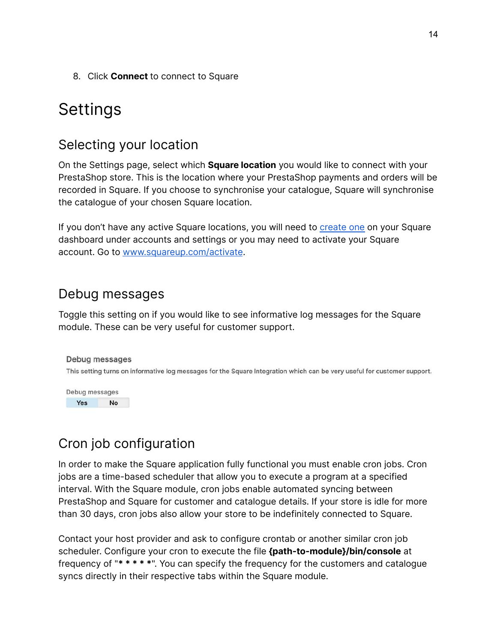8. Click **Connect** to connect to Square

## Settings

#### Selecting your location

On the Settings page, select which **Square location** you would like to connect with your PrestaShop store. This is the location where your PrestaShop payments and orders will be recorded in Square. If you choose to synchronise your catalogue, Square will synchronise the catalogue of your chosen Square location.

If you don't have any active Square locations, you will need to [create](https://squareup.com/login) one on your Square dashboard under accounts and settings or you may need to activate your Square account. Go to [www.squareup.com/activate](http://www.squareup.com/activate).

## Debug messages

Toggle this setting on if you would like to see informative log messages for the Square module. These can be very useful for customer support.

#### Debug messages

This setting turns on informative log messages for the Square Integration which can be very useful for customer support.



## Cron job configuration

In order to make the Square application fully functional you must enable cron jobs. Cron jobs are a time-based scheduler that allow you to execute a program at a specified interval. With the Square module, cron jobs enable automated syncing between PrestaShop and Square for customer and catalogue details. If your store is idle for more than 30 days, cron jobs also allow your store to be indefinitely connected to Square.

Contact your host provider and ask to configure crontab or another similar cron job scheduler. Configure your cron to execute the file **{path-to-module}/bin/console** at frequency of "**\* \* \* \* \***". You can specify the frequency for the customers and catalogue syncs directly in their respective tabs within the Square module.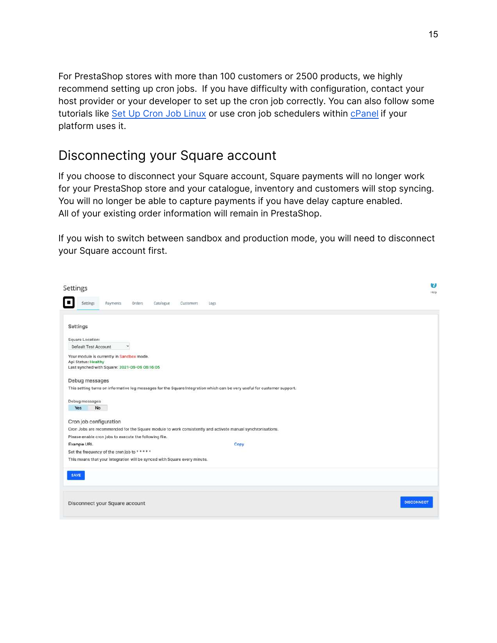For PrestaShop stores with more than 100 customers or 2500 products, we highly recommend setting up cron jobs. If you have difficulty with configuration, contact your host provider or your developer to set up the cron job correctly. You can also follow some tutorials like Set Up Cron Job [Linux](https://phoenixnap.com/kb/set-up-cron-job-linux) or use cron job schedulers within [cPanel](https://blog.cpanel.com/how-to-configure-a-cron-job/) if your platform uses it.

#### Disconnecting your Square account

If you choose to disconnect your Square account, Square payments will no longer work for your PrestaShop store and your catalogue, inventory and customers will stop syncing. You will no longer be able to capture payments if you have delay capture enabled. All of your existing order information will remain in PrestaShop.

If you wish to switch between sandbox and production mode, you will need to disconnect your Square account first.

| Catalogue<br>Settings<br>Payments:<br>Orders<br>Customers<br>Logs<br>Settings<br>Square Location:<br>Default Test Account<br>v<br>Your module is currently in Sandbox mode.<br>Api Status: Healthy<br>Last synched with Square: 2021-06-09 06:16:05<br>Debug messages<br>This setting turns on informative log messages for the Square Integration which can be very useful for customer support.<br>Debug messages<br>Yes<br>No<br>Cron job configuration<br>Cron Jobs are recommended for the Square module to work consistently and activate manual synchronisations.<br>Please enable cron jobs to execute the following file.<br>Example URL<br>Copy<br>Set the frequency of the cron job to *****<br>This means that your integration will be synced with Square every minute.<br>SAVE<br><b>DISCONNECT</b><br>Disconnect your Square account | Settings |  |  |  |  |  | Ø<br>Heip |
|-----------------------------------------------------------------------------------------------------------------------------------------------------------------------------------------------------------------------------------------------------------------------------------------------------------------------------------------------------------------------------------------------------------------------------------------------------------------------------------------------------------------------------------------------------------------------------------------------------------------------------------------------------------------------------------------------------------------------------------------------------------------------------------------------------------------------------------------------------|----------|--|--|--|--|--|-----------|
|                                                                                                                                                                                                                                                                                                                                                                                                                                                                                                                                                                                                                                                                                                                                                                                                                                                     |          |  |  |  |  |  |           |
|                                                                                                                                                                                                                                                                                                                                                                                                                                                                                                                                                                                                                                                                                                                                                                                                                                                     |          |  |  |  |  |  |           |
|                                                                                                                                                                                                                                                                                                                                                                                                                                                                                                                                                                                                                                                                                                                                                                                                                                                     |          |  |  |  |  |  |           |
|                                                                                                                                                                                                                                                                                                                                                                                                                                                                                                                                                                                                                                                                                                                                                                                                                                                     |          |  |  |  |  |  |           |
|                                                                                                                                                                                                                                                                                                                                                                                                                                                                                                                                                                                                                                                                                                                                                                                                                                                     |          |  |  |  |  |  |           |
|                                                                                                                                                                                                                                                                                                                                                                                                                                                                                                                                                                                                                                                                                                                                                                                                                                                     |          |  |  |  |  |  |           |
|                                                                                                                                                                                                                                                                                                                                                                                                                                                                                                                                                                                                                                                                                                                                                                                                                                                     |          |  |  |  |  |  |           |
|                                                                                                                                                                                                                                                                                                                                                                                                                                                                                                                                                                                                                                                                                                                                                                                                                                                     |          |  |  |  |  |  |           |
|                                                                                                                                                                                                                                                                                                                                                                                                                                                                                                                                                                                                                                                                                                                                                                                                                                                     |          |  |  |  |  |  |           |
|                                                                                                                                                                                                                                                                                                                                                                                                                                                                                                                                                                                                                                                                                                                                                                                                                                                     |          |  |  |  |  |  |           |
|                                                                                                                                                                                                                                                                                                                                                                                                                                                                                                                                                                                                                                                                                                                                                                                                                                                     |          |  |  |  |  |  |           |
|                                                                                                                                                                                                                                                                                                                                                                                                                                                                                                                                                                                                                                                                                                                                                                                                                                                     |          |  |  |  |  |  |           |
|                                                                                                                                                                                                                                                                                                                                                                                                                                                                                                                                                                                                                                                                                                                                                                                                                                                     |          |  |  |  |  |  |           |
|                                                                                                                                                                                                                                                                                                                                                                                                                                                                                                                                                                                                                                                                                                                                                                                                                                                     |          |  |  |  |  |  |           |
|                                                                                                                                                                                                                                                                                                                                                                                                                                                                                                                                                                                                                                                                                                                                                                                                                                                     |          |  |  |  |  |  |           |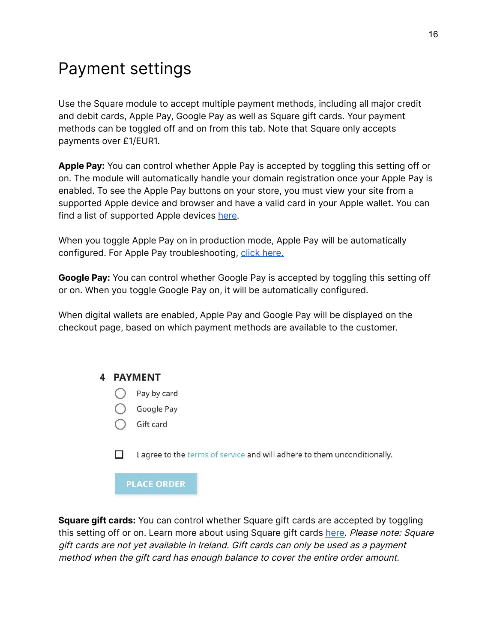## Payment settings

Use the Square module to accept multiple payment methods, including all major credit and debit cards, Apple Pay, Google Pay as well as Square gift cards. Your payment methods can be toggled off and on from this tab. Note that Square only accepts payments over £1/EUR1.

**Apple Pay:** You can control whether Apple Pay is accepted by toggling this setting off or on. The module will automatically handle your domain registration once your Apple Pay is enabled. To see the Apple Pay buttons on your store, you must view your site from a supported Apple device and browser and have a valid card in your Apple wallet. You can find a list of supported Apple devices [here.](https://support.apple.com/en-us/HT208531)

When you toggle Apple Pay on in production mode, Apple Pay will be automatically configured. For Apple Pay troubleshooting, click [here.](#page-42-0)

**Google Pay:** You can control whether Google Pay is accepted by toggling this setting off or on. When you toggle Google Pay on, it will be automatically configured.

When digital wallets are enabled, Apple Pay and Google Pay will be displayed on the checkout page, based on which payment methods are available to the customer.

#### 4 PAYMENT

- $\bigcap$  Pay by card
- Google Pay
- $\bigcap$  Gift card

 $\Box$ I agree to the terms of service and will adhere to them unconditionally.

**PLACE ORDER** 

**Square gift cards:** You can control whether Square gift cards are accepted by toggling this setting off or on. Learn more about using Square gift cards [here.](https://squareup.com/gb/en/gift-cards?country_redirection=true) Please note: Square gift cards are not yet available in Ireland. Gift cards can only be used as <sup>a</sup> payment method when the gift card has enough balance to cover the entire order amount.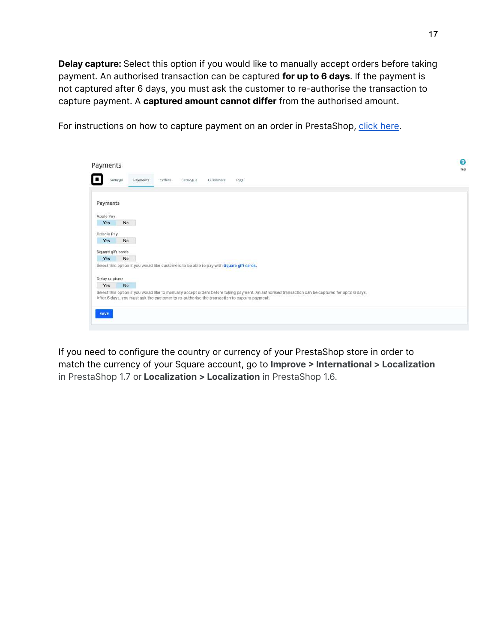**Delay capture:** Select this option if you would like to manually accept orders before taking payment. An authorised transaction can be captured **for up to 6 days**. If the payment is not captured after 6 days, you must ask the customer to re-authorise the transaction to capture payment. A **captured amount cannot differ** from the authorised amount.



For instructions on how to capture payment on an order in PrestaShop, [click](#page-40-0) here.

If you need to configure the country or currency of your PrestaShop store in order to match the currency of your Square account, go to **Improve > International > Localization** in PrestaShop 1.7 or **Localization > Localization** in PrestaShop 1.6.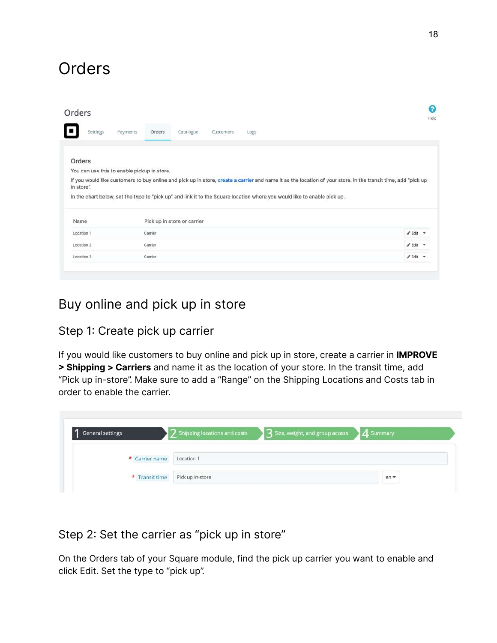## Orders

| Orders     |                                                                                                                                                                                                                                                                                           | ຨ<br>Help                        |
|------------|-------------------------------------------------------------------------------------------------------------------------------------------------------------------------------------------------------------------------------------------------------------------------------------------|----------------------------------|
| Settings   | Payments<br>Catalogue<br>Orders<br>Customers<br>Logs                                                                                                                                                                                                                                      |                                  |
| Orders     |                                                                                                                                                                                                                                                                                           |                                  |
|            |                                                                                                                                                                                                                                                                                           |                                  |
|            | You can use this to enable pickup in store.                                                                                                                                                                                                                                               |                                  |
| in store". | If you would like customers to buy online and pick up in store, create a carrier and name it as the location of your store. In the transit time, add "pick up<br>In the chart below, set the type to "pick up" and link it to the Square location where you would like to enable pick up. |                                  |
| Name       | Pick up in store or carrier                                                                                                                                                                                                                                                               |                                  |
| Location 1 | Carrier                                                                                                                                                                                                                                                                                   | $\mathscr{P}$ Edit $\mathscr{P}$ |
| Location 2 | Carrier                                                                                                                                                                                                                                                                                   | $\mathscr{I}$ Edit $\tau$        |

#### Buy online and pick up in store

#### Step 1: Create pick up carrier

If you would like customers to buy online and pick up in store, create a carrier in **IMPROVE > Shipping > Carriers** and name it as the location of your store. In the transit time, add "Pick up in-store". Make sure to add a "Range" on the Shipping Locations and Costs tab in order to enable the carrier.

| General settings          | 2 Shipping locations and costs 3 Size, weight, and group access 3 4 Summary |    |
|---------------------------|-----------------------------------------------------------------------------|----|
| * Carrier name Location 1 |                                                                             |    |
|                           |                                                                             | en |

#### Step 2: Set the carrier as "pick up in store"

On the Orders tab of your Square module, find the pick up carrier you want to enable and click Edit. Set the type to "pick up".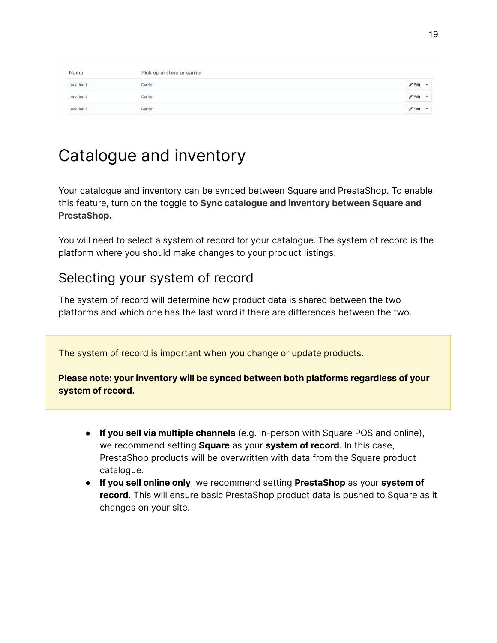| Name                                | Pick up in store or carrier |                             |
|-------------------------------------|-----------------------------|-----------------------------|
| Location 1<br>12.527.1209 (5-) 9000 | Carrier<br>31 22 J 22 J 2   |                             |
| Location 2                          | Carrier<br>2397496          |                             |
| Location 3                          | Carrier<br>a ma             | $\sim$<br>$\mathscr P$ Edit |

## Catalogue and inventory

Your catalogue and inventory can be synced between Square and PrestaShop. To enable this feature, turn on the toggle to **Sync catalogue and inventory between Square and PrestaShop.**

You will need to select a system of record for your catalogue. The system of record is the platform where you should make changes to your product listings.

#### Selecting your system of record

The system of record will determine how product data is shared between the two platforms and which one has the last word if there are differences between the two.

The system of record is important when you change or update products.

**Please note: your inventory will be synced between both platforms regardless of your system of record.**

- **If you sell via multiple channels** (e.g. in-person with Square POS and online), we recommend setting **Square** as your **system of record**. In this case, PrestaShop products will be overwritten with data from the Square product catalogue.
- **If you sell online only**, we recommend setting **PrestaShop** as your **system of record**. This will ensure basic PrestaShop product data is pushed to Square as it changes on your site.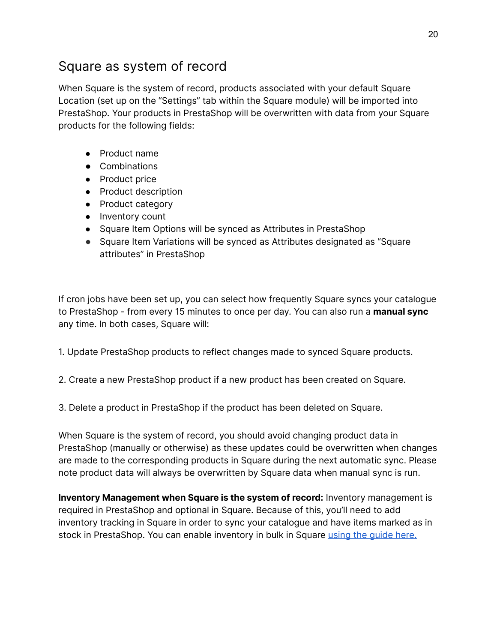#### Square as system of record

When Square is the system of record, products associated with your default Square Location (set up on the "Settings" tab within the Square module) will be imported into PrestaShop. Your products in PrestaShop will be overwritten with data from your Square products for the following fields:

- Product name
- Combinations
- Product price
- Product description
- Product category
- Inventory count
- Square Item Options will be synced as Attributes in PrestaShop
- Square Item Variations will be synced as Attributes designated as "Square attributes" in PrestaShop

If cron jobs have been set up, you can select how frequently Square syncs your catalogue to PrestaShop - from every 15 minutes to once per day. You can also run a **manual sync** any time. In both cases, Square will:

1. Update PrestaShop products to reflect changes made to synced Square products.

2. Create a new PrestaShop product if a new product has been created on Square.

3. Delete a product in PrestaShop if the product has been deleted on Square.

When Square is the system of record, you should avoid changing product data in PrestaShop (manually or otherwise) as these updates could be overwritten when changes are made to the corresponding products in Square during the next automatic sync. Please note product data will always be overwritten by Square data when manual sync is run.

**Inventory Management when Square is the system of record:** Inventory management is required in PrestaShop and optional in Square. Because of this, you'll need to add inventory tracking in Square in order to sync your catalogue and have items marked as in stock in PrestaShop. You can enable inventory in bulk in Square using the [guide](https://squareup.com/help/gb/en/article/5228-basic-inventory-management#:~:text=Enable%20Inventory%20in%20Bulk&text=Click%20Import%20Inventory%20and%20choose,your%20computer%20as%20an%20Excel%20(.) here.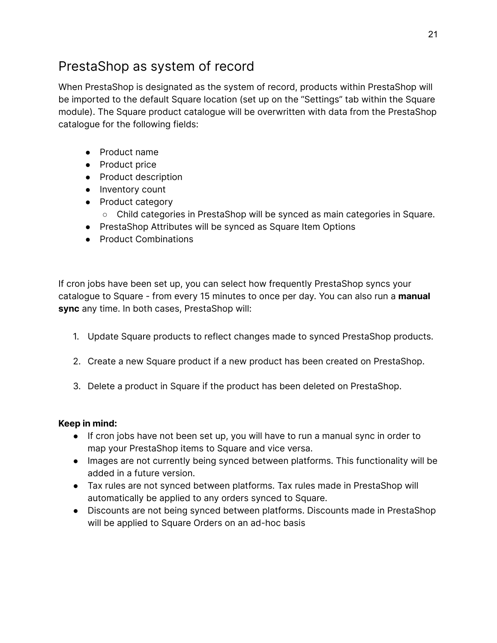## PrestaShop as system of record

When PrestaShop is designated as the system of record, products within PrestaShop will be imported to the default Square location (set up on the "Settings" tab within the Square module). The Square product catalogue will be overwritten with data from the PrestaShop catalogue for the following fields:

- Product name
- Product price
- Product description
- Inventory count
- Product category
	- Child categories in PrestaShop will be synced as main categories in Square.
- PrestaShop Attributes will be synced as Square Item Options
- Product Combinations

If cron jobs have been set up, you can select how frequently PrestaShop syncs your catalogue to Square - from every 15 minutes to once per day. You can also run a **manual sync** any time. In both cases, PrestaShop will:

- 1. Update Square products to reflect changes made to synced PrestaShop products.
- 2. Create a new Square product if a new product has been created on PrestaShop.
- 3. Delete a product in Square if the product has been deleted on PrestaShop.

#### **Keep in mind:**

- If cron jobs have not been set up, you will have to run a manual sync in order to map your PrestaShop items to Square and vice versa.
- Images are not currently being synced between platforms. This functionality will be added in a future version.
- Tax rules are not synced between platforms. Tax rules made in PrestaShop will automatically be applied to any orders synced to Square.
- Discounts are not being synced between platforms. Discounts made in PrestaShop will be applied to Square Orders on an ad-hoc basis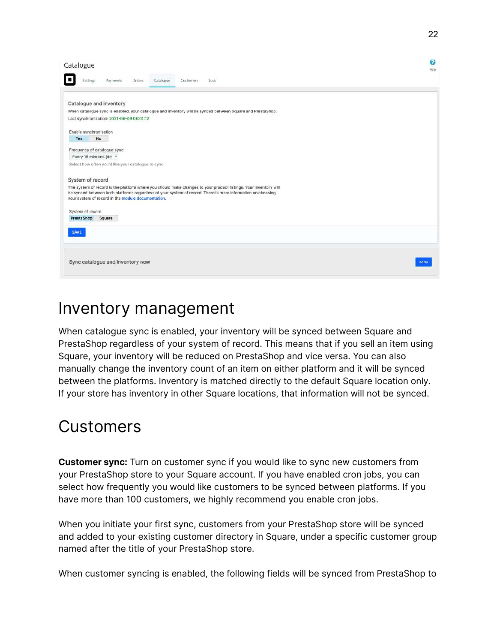| Catalogue                                                                                                                                                                                                                                                                             | Ø<br>Help |
|---------------------------------------------------------------------------------------------------------------------------------------------------------------------------------------------------------------------------------------------------------------------------------------|-----------|
| Orders<br>Catalogue<br><b>Settings</b><br>Payments<br>Customers<br>Logs                                                                                                                                                                                                               |           |
| Catalogue and inventory                                                                                                                                                                                                                                                               |           |
| When catalogue sync is enabled, your catalogue and inventory will be synced between Square and PrestaShop.                                                                                                                                                                            |           |
| Last synchronization: 2021-06-09 06:01:12                                                                                                                                                                                                                                             |           |
|                                                                                                                                                                                                                                                                                       |           |
| Enable synchronisation                                                                                                                                                                                                                                                                |           |
| Yes<br>No                                                                                                                                                                                                                                                                             |           |
| Frequency of catalogue sync                                                                                                                                                                                                                                                           |           |
| Every 15 minutes (det Y                                                                                                                                                                                                                                                               |           |
| Select how often you'd like your catalogue to sync                                                                                                                                                                                                                                    |           |
|                                                                                                                                                                                                                                                                                       |           |
| System of record                                                                                                                                                                                                                                                                      |           |
| The system of record is the platform where you should make changes to your product listings. Your inventory will<br>be synced between both platforms regardless of your system of record. There is more information on choosing<br>your system of record in the module documentation. |           |
| System of record                                                                                                                                                                                                                                                                      |           |
| Square<br>PrestaShop                                                                                                                                                                                                                                                                  |           |
|                                                                                                                                                                                                                                                                                       |           |
| <b>SAVE</b>                                                                                                                                                                                                                                                                           |           |
|                                                                                                                                                                                                                                                                                       |           |
|                                                                                                                                                                                                                                                                                       |           |
| Sync catalogue and inventory now                                                                                                                                                                                                                                                      | SYNC      |
|                                                                                                                                                                                                                                                                                       |           |

## Inventory management

When catalogue sync is enabled, your inventory will be synced between Square and PrestaShop regardless of your system of record. This means that if you sell an item using Square, your inventory will be reduced on PrestaShop and vice versa. You can also manually change the inventory count of an item on either platform and it will be synced between the platforms. Inventory is matched directly to the default Square location only. If your store has inventory in other Square locations, that information will not be synced.

## Customers

**Customer sync:** Turn on customer sync if you would like to sync new customers from your PrestaShop store to your Square account. If you have enabled cron jobs, you can select how frequently you would like customers to be synced between platforms. If you have more than 100 customers, we highly recommend you enable cron jobs.

When you initiate your first sync, customers from your PrestaShop store will be synced and added to your existing customer directory in Square, under a specific customer group named after the title of your PrestaShop store.

When customer syncing is enabled, the following fields will be synced from PrestaShop to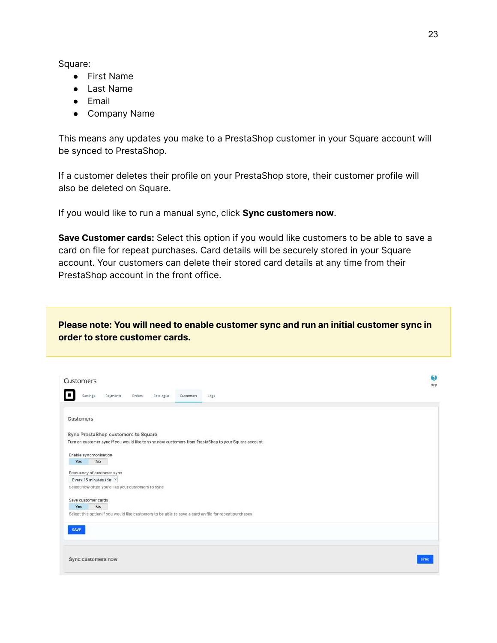Square:

- First Name
- Last Name
- Email
- Company Name

This means any updates you make to a PrestaShop customer in your Square account will be synced to PrestaShop.

If a customer deletes their profile on your PrestaShop store, their customer profile will also be deleted on Square.

If you would like to run a manual sync, click **Sync customers now**.

**Save Customer cards:** Select this option if you would like customers to be able to save a card on file for repeat purchases. Card details will be securely stored in your Square account. Your customers can delete their stored card details at any time from their PrestaShop account in the front office.

**Please note: You will need to enable customer sync and run an initial customer sync in order to store customer cards.**

| Customers                                                                                              | Θ<br>Help |
|--------------------------------------------------------------------------------------------------------|-----------|
| Payments<br>Settings<br>Orders<br>Catalogue<br>Customers<br>Logs                                       |           |
|                                                                                                        |           |
| Customers                                                                                              |           |
| Sync PrestaShop customers to Square                                                                    |           |
| Turn on customer sync if you would like to sync new customers from PrestaShop to your Square account.  |           |
| Enable synchronisation                                                                                 |           |
| No<br>Yes                                                                                              |           |
| Frequency of customer sync                                                                             |           |
| Every 15 minutes (del Y                                                                                |           |
| Select how often you'd like your customers to sync                                                     |           |
| Save customer cards                                                                                    |           |
| <b>No</b><br>Yes                                                                                       |           |
| Select this option if you would like customers to be able to save a card on file for repeat purchases. |           |
|                                                                                                        |           |
| <b>SAVE</b>                                                                                            |           |
|                                                                                                        |           |
| Sync customers now                                                                                     | SYNC      |
|                                                                                                        |           |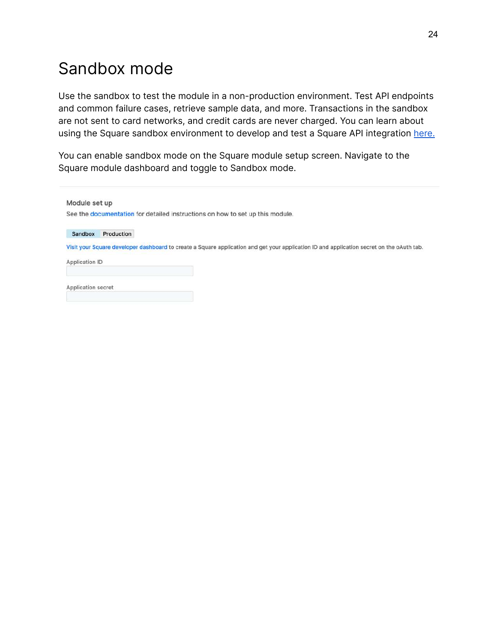## <span id="page-23-0"></span>Sandbox mode

Use the sandbox to test the module in a non-production environment. Test API endpoints and common failure cases, retrieve sample data, and more. Transactions in the sandbox are not sent to card networks, and credit cards are never charged. You can learn about using the Square sandbox environment to develop and test a Square API integration [here.](https://developer.squareup.com/docs/testing/sandbox)

You can enable sandbox mode on the Square module setup screen. Navigate to the Square module dashboard and toggle to Sandbox mode.

| Module set up      |            |                                                                               |  |                                                                                                                                           |
|--------------------|------------|-------------------------------------------------------------------------------|--|-------------------------------------------------------------------------------------------------------------------------------------------|
|                    |            | See the documentation for detailed instructions on how to set up this module. |  |                                                                                                                                           |
| Sandbox            | Production |                                                                               |  |                                                                                                                                           |
|                    |            |                                                                               |  | Visit your Square developer dashboard to create a Square application and get your application ID and application secret on the oAuth tab. |
| Application ID     |            |                                                                               |  |                                                                                                                                           |
|                    |            |                                                                               |  |                                                                                                                                           |
| Application secret |            |                                                                               |  |                                                                                                                                           |
|                    |            |                                                                               |  |                                                                                                                                           |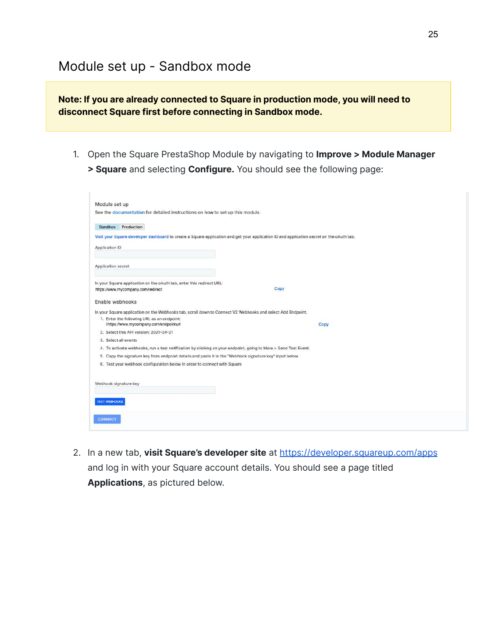#### Module set up - Sandbox mode

**Note: If you are already connected to Square in production mode, you will need to disconnect Square first before connecting in Sandbox mode.**

1. Open the Square PrestaShop Module by navigating to **Improve > Module Manager > Square** and selecting **Configure.** You should see the following page:

| Module set up                                                                                                                             |      |
|-------------------------------------------------------------------------------------------------------------------------------------------|------|
| See the documentation for detailed instructions on how to set up this module.                                                             |      |
| Sandbox Production                                                                                                                        |      |
| Visit your Square developer dashboard to create a Square application and get your application ID and application secret on the oAuth tab. |      |
| Application ID                                                                                                                            |      |
|                                                                                                                                           |      |
| Application secret                                                                                                                        |      |
|                                                                                                                                           |      |
| In your Square application on the oAuth tab, enter this redirect URL:                                                                     |      |
| https://www.mycompany.com/redirect                                                                                                        | Copy |
| Enable webhooks                                                                                                                           |      |
| In your Square application on the Webhooks tab, scroll down to Connect V2 Webhooks and select Add Endpoint.                               |      |
| 1. Enter the following URL as an endpoint:                                                                                                |      |
| Ihttps://www.mycompany.com/endpointurl                                                                                                    | Copy |
| 2. Select this API version: 2021-04-21                                                                                                    |      |
| 3. Select all events<br>4. To activate webhooks, run a test notification by clicking on your endpoint, going to More > Send Test Event.   |      |
| 5. Copy the signature key from endpoint details and paste it in the "Webhook signature key" input below.                                  |      |
| 6. Test your webhook configuration below in order to connect with Square                                                                  |      |
|                                                                                                                                           |      |
|                                                                                                                                           |      |
| Webhook signature key                                                                                                                     |      |
|                                                                                                                                           |      |
| <b>TEST WEBHOOKS</b>                                                                                                                      |      |
|                                                                                                                                           |      |
| <b>CONNECT</b>                                                                                                                            |      |
|                                                                                                                                           |      |

2. In a new tab, **visit Square's developer site** at <https://developer.squareup.com/apps> and log in with your Square account details. You should see a page titled **Applications**, as pictured below.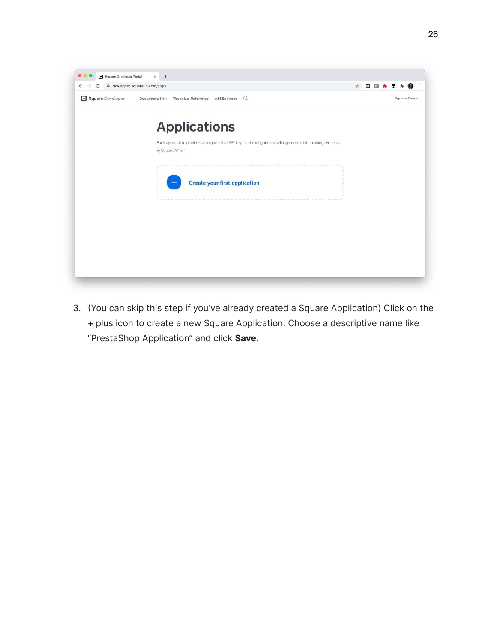

3. (You can skip this step if you've already created a Square Application) Click on the **+** plus icon to create a new Square Application. Choose a descriptive name like "PrestaShop Application" and click **Save.**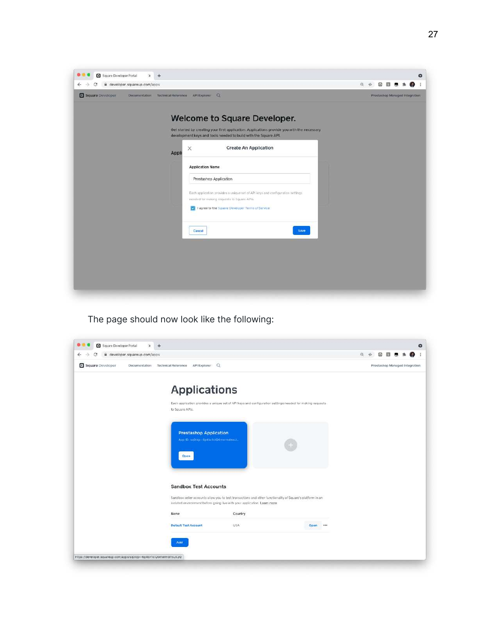| iii developer.squareup.com/apps                                                                                                                                                                                                                                                                                                                                                                                                                                                                                 | $\Theta$ | ☆ | $\Box$                         | 翻 |  |  |
|-----------------------------------------------------------------------------------------------------------------------------------------------------------------------------------------------------------------------------------------------------------------------------------------------------------------------------------------------------------------------------------------------------------------------------------------------------------------------------------------------------------------|----------|---|--------------------------------|---|--|--|
| Square Developer<br>Documentation Technical Reference API Explorer Q                                                                                                                                                                                                                                                                                                                                                                                                                                            |          |   | Prestashep Managed Integration |   |  |  |
| Welcome to Square Developer.<br>Get started by creating your first application. Applications provide you with the necessary<br>development keys and tools needed to build with the Square API.<br><b>Create An Application</b><br>$\times$<br>Appli<br><b>Application Name</b><br>Prestashop Application<br>Each application provides a unique set of API keys and configuration settings<br>needed for making requests to Square APIs.<br>V I agree to the Square Developer Terms of Service<br>Save<br>Cancel |          |   |                                |   |  |  |

The page should now look like the following:

| ii developer.squareup.com/apps |                                                                            |                                                                                                                                                                                       |          | $\Theta$<br>÷ | ⊡<br>司                         |  |  |
|--------------------------------|----------------------------------------------------------------------------|---------------------------------------------------------------------------------------------------------------------------------------------------------------------------------------|----------|---------------|--------------------------------|--|--|
| Square Developer               | Documentation Technical Reference API Explorer Q                           |                                                                                                                                                                                       |          |               | Prestashop Managed Integration |  |  |
|                                | <b>Applications</b>                                                        |                                                                                                                                                                                       |          |               |                                |  |  |
|                                | to Square APIs.                                                            | Each application provides a unique set of API keys and configuration settings needed for making requests                                                                              |          |               |                                |  |  |
|                                | <b>Prestashop Application</b><br>App D: splidp--fp4bv1clQGmermonx2<br>Open |                                                                                                                                                                                       |          |               |                                |  |  |
|                                | <b>Sandbox Test Accounts</b>                                               | Sandbox seller accounts allow you to test transactions and other functionality of Square's platform in an<br>isolated environment before going live with your application. Learn more |          |               |                                |  |  |
|                                | Name                                                                       | Country                                                                                                                                                                               |          |               |                                |  |  |
|                                | <b>Default Test Account</b>                                                | USA                                                                                                                                                                                   | Open *** |               |                                |  |  |
|                                | Add                                                                        |                                                                                                                                                                                       |          |               |                                |  |  |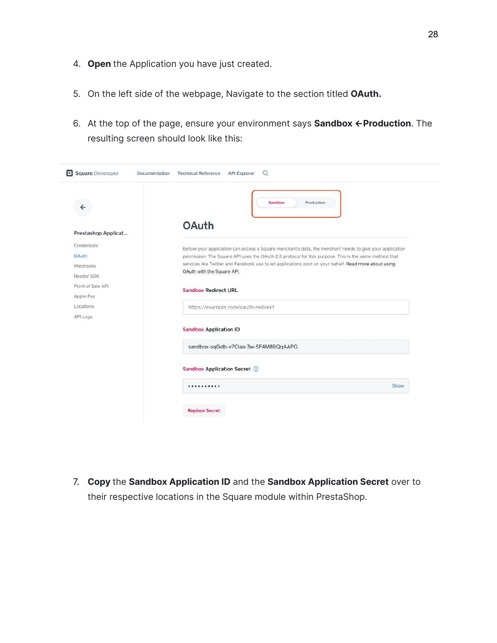- 4. **Open** the Application you have just created.
- 5. On the left side of the webpage, Navigate to the section titled **OAuth.**
- 6. At the top of the page, ensure your environment says **Sandbox**  $\leftarrow$  **Production**. The resulting screen should look like this:

| $\leftarrow$        | Sandbox<br>Production                                                                                    |
|---------------------|----------------------------------------------------------------------------------------------------------|
| Prestashop Applicat | <b>OAuth</b>                                                                                             |
| <b>Credentials</b>  | Before your application can access a Square merchant's data, the merchant needs to give your application |
| OAuth               | permission. The Square API uses the OAuth 2.0 protocol for this purpose. This is the same method that    |
| Webhooks            | services like Twitter and Facebook use to let applications post on your behalf. Read more about using    |
| Reader SDK          | OAuth with the Square API.                                                                               |
| Point of Sale API   | <b>Sandbox Redirect URL</b>                                                                              |
| Apple Pay           |                                                                                                          |
| Locations           | https://example.com/oauth-redirect                                                                       |
| API Logs            | <b>Sandbox Application ID</b><br>sandbox-sq0idb-v7Ciaa-3w-SF4M8BQqAAPQ                                   |
|                     | <b>Sandbox Application Secret</b> (2)                                                                    |
|                     | Show<br>                                                                                                 |
|                     | <b>Replace Secret</b>                                                                                    |

7. **Copy** the **Sandbox Application ID** and the **Sandbox Application Secret** over to their respective locations in the Square module within PrestaShop.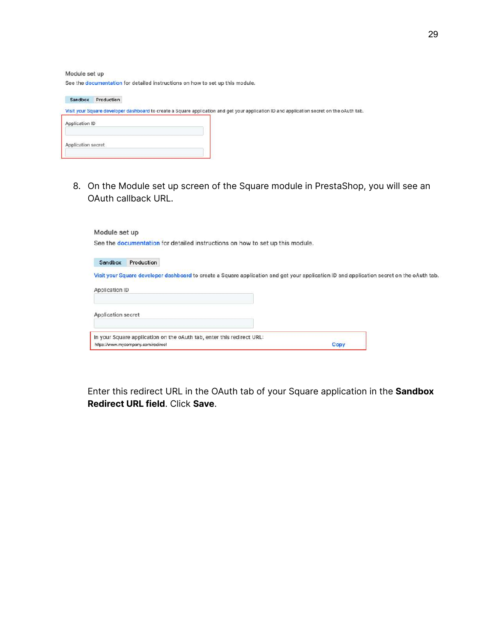Module set up

See the documentation for detailed instructions on how to set up this module.

| Production<br>Sandbox |                                                                                                                                           |
|-----------------------|-------------------------------------------------------------------------------------------------------------------------------------------|
|                       | Visit your Square developer dashboard to create a Square application and get your application ID and application secret on the oAuth tab. |
| Application ID        |                                                                                                                                           |
|                       |                                                                                                                                           |
| Application secret    |                                                                                                                                           |
|                       |                                                                                                                                           |

8. On the Module set up screen of the Square module in PrestaShop, you will see an OAuth callback URL.

| Module set up      |                                                                                                             |                                                                                                                                           |
|--------------------|-------------------------------------------------------------------------------------------------------------|-------------------------------------------------------------------------------------------------------------------------------------------|
|                    | See the documentation for detailed instructions on how to set up this module.                               |                                                                                                                                           |
| Sandbox            | Production                                                                                                  |                                                                                                                                           |
|                    |                                                                                                             | Visit your Square developer dashboard to create a Square application and get your application ID and application secret on the oAuth tab. |
| Application ID     |                                                                                                             |                                                                                                                                           |
| Application secret |                                                                                                             |                                                                                                                                           |
|                    | In your Square application on the oAuth tab, enter this redirect URL:<br>https://www.mycompany.com/redirect | Copy                                                                                                                                      |

Enter this redirect URL in the OAuth tab of your Square application in the **Sandbox Redirect URL field**. Click **Save**.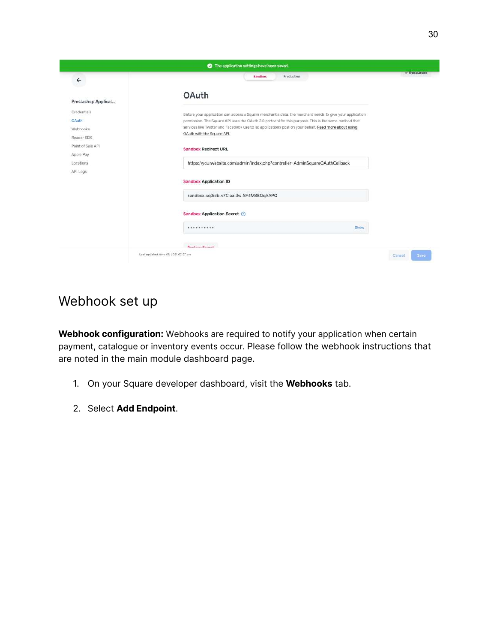

#### Webhook set up

**Webhook configuration:** W[ebhooks](https://developer.squareup.com/docs/webhooks/build-with-webhooks) are required to notify your application when certain payment, catalogue or inventory events occur. Please follow the webhook instructions that are noted in the main module dashboard page.

- 1. On your Square developer dashboard, visit the **Webhooks** tab.
- 2. Select **Add Endpoint**.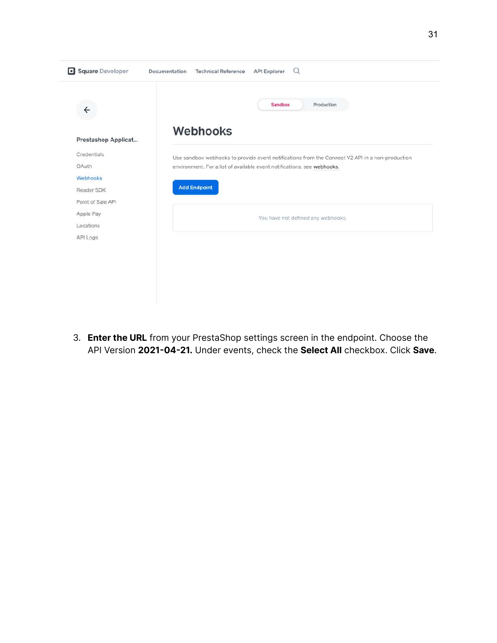| $\leftarrow$        | Sandbox<br>Production                                                                           |
|---------------------|-------------------------------------------------------------------------------------------------|
| Prestashop Applicat | <b>Webhooks</b>                                                                                 |
| Credentials         | Use sandbox webhooks to provide event notifications from the Connect V2 API in a non-production |
| OAuth               | environment. For a list of available event notifications, see webhooks.                         |
| Webhooks            |                                                                                                 |
| Reader SDK          | <b>Add Endpoint</b>                                                                             |
| Point of Sale API   |                                                                                                 |
| Apple Pay           | You have not defined any webhooks.                                                              |
| Locations           |                                                                                                 |
| API Logs            |                                                                                                 |
|                     |                                                                                                 |
|                     |                                                                                                 |
|                     |                                                                                                 |

3. **Enter the URL** from your PrestaShop settings screen in the endpoint. Choose the API Version **2021-04-21.** Under events, check the **Select All** checkbox. Click **Save**.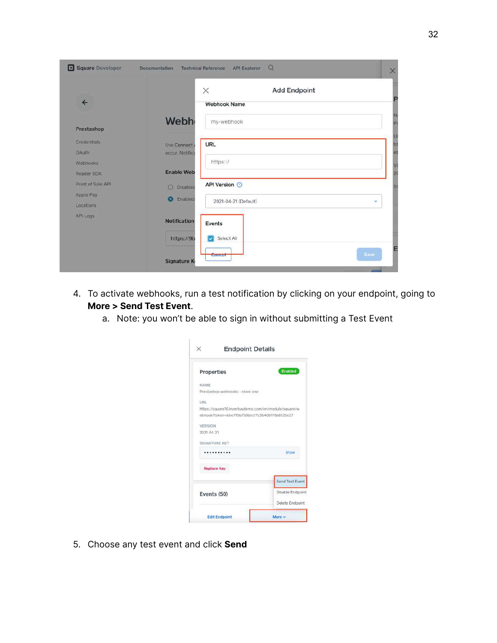| Square Developer  | Documentation              | $\Omega$<br><b>API Explorer</b><br><b>Technical Reference</b> | $\times$     |
|-------------------|----------------------------|---------------------------------------------------------------|--------------|
| $\leftarrow$      |                            | $\times$<br><b>Add Endpoint</b><br><b>Webhook Name</b>        |              |
|                   |                            |                                                               |              |
| Prestashop        | <b>Webh</b>                | my-webhook                                                    | U            |
| Credentials       | Use Connect                | URL                                                           | h            |
| <b>OAuth</b>      | occur. Notifica            |                                                               |              |
| Webhooks          |                            | https://                                                      |              |
| Reader SDK        | <b>Enable Web</b>          |                                                               | 2(           |
| Point of Sale API | $\circ$<br><b>Disablec</b> | <b>API Version ©</b>                                          |              |
| Apple Pay         | Enabled<br>ъı              |                                                               |              |
| Locations         |                            | 2021-04-21 (Default)                                          | $\mathbf{v}$ |
| API Logs          | <b>Notification</b>        | Events                                                        |              |
|                   | https://9b                 | Select All                                                    |              |
|                   | <b>Signature K</b>         | Cancel                                                        | Save         |

- 4. To activate webhooks, run a test notification by clicking on your endpoint, going to **More > Send Test Event**.
	- a. Note: you won't be able to sign in without submitting a Test Event

| <b>Endpoint Details</b>                              |                                                        |
|------------------------------------------------------|--------------------------------------------------------|
| Properties                                           | Enabled                                                |
| NAME                                                 |                                                        |
| Prestashop webhooks - store one                      |                                                        |
| URL                                                  |                                                        |
| https://square16.invertusdemo.com/en/module/square/w |                                                        |
| ebhook?token=bbe7f0b7585ecf7c3b408178a8125e27        |                                                        |
| <b>VERSION</b>                                       |                                                        |
| 2021-04-21                                           |                                                        |
| SIGNATURE KEY                                        |                                                        |
|                                                      | Show                                                   |
| <b>Replace Key</b>                                   |                                                        |
|                                                      |                                                        |
|                                                      |                                                        |
|                                                      |                                                        |
| Events (50)                                          | Send Test Event<br>Disable Endpoint<br>Delete Endpoint |

5. Choose any test event and click **Send**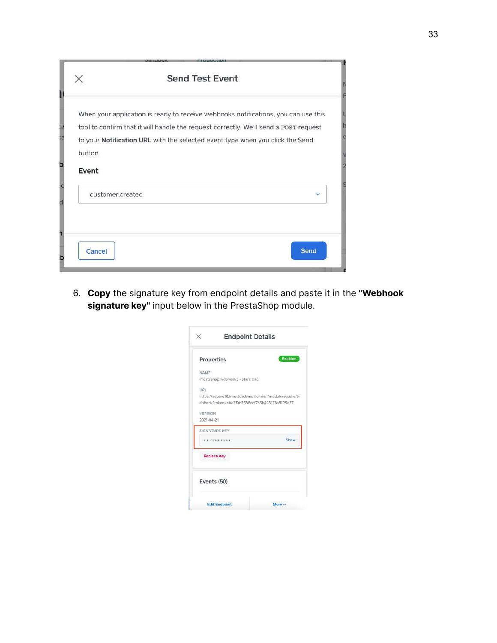|                  | <b>Send Test Event</b>                                                                                                                                                     |      |
|------------------|----------------------------------------------------------------------------------------------------------------------------------------------------------------------------|------|
|                  | When your application is ready to receive webhooks notifications, you can use this<br>tool to confirm that it will handle the request correctly. We'll send a POST request |      |
| button.<br>Event | to your Notification URL with the selected event type when you click the Send                                                                                              |      |
| customer.created |                                                                                                                                                                            | v    |
| Cancel           |                                                                                                                                                                            | Send |

6. **Copy** the signature key from endpoint details and paste it in the **"Webhook signature key"** input below in the PrestaShop module.

| <b>Endpoint Details</b>                           |                                                      |  |
|---------------------------------------------------|------------------------------------------------------|--|
| Properties                                        | Enabled                                              |  |
| NAME                                              |                                                      |  |
| Prestashop webhooks - store one                   |                                                      |  |
| <b>URL</b>                                        |                                                      |  |
|                                                   | https://square16.invertusdemo.com/en/module/square/w |  |
|                                                   | ebhook?token=bbe7f0b7586ecf7c3b408178a8125e27        |  |
| VERSION                                           |                                                      |  |
|                                                   |                                                      |  |
|                                                   |                                                      |  |
|                                                   |                                                      |  |
|                                                   | Show                                                 |  |
| 2021-04-21<br>SIGNATURE KEY<br><b>Replace Key</b> |                                                      |  |
| Events (50)                                       |                                                      |  |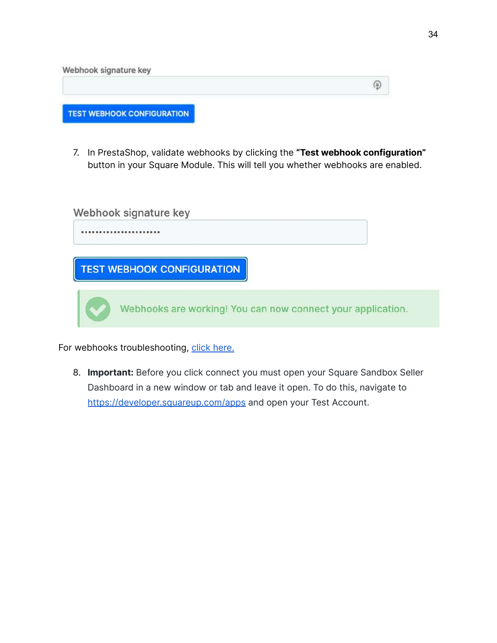| Webhook signature key             |  |
|-----------------------------------|--|
|                                   |  |
| <b>TEST WEBHOOK CONFIGURATION</b> |  |

7. In PrestaShop, validate webhooks by clicking the **"Test webhook configuration"** button in your Square Module. This will tell you whether webhooks are enabled.

|  | Webhook signature key                                       |  |
|--|-------------------------------------------------------------|--|
|  |                                                             |  |
|  | <b>TEST WEBHOOK CONFIGURATION</b>                           |  |
|  | Webhooks are working! You can now connect your application. |  |

For webhooks troubleshooting, click [here.](#page-41-0)

8. **Important:** Before you click connect you must open your Square Sandbox Seller Dashboard in a new window or tab and leave it open. To do this, navigate to <https://developer.squareup.com/apps> and open your Test Account.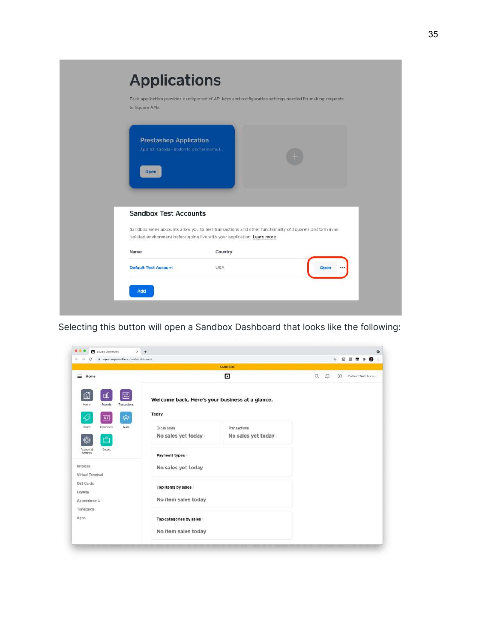

Selecting this button will open a Sandbox Dashboard that looks like the following:

| ii squareupsandbox.com/dashboard/<br>$\leftarrow$ ><br>c |                                                 |                    |                    |             | ☆ 日回 ■ ★ ● 1       |
|----------------------------------------------------------|-------------------------------------------------|--------------------|--------------------|-------------|--------------------|
|                                                          |                                                 | <b>SANDROX</b>     |                    |             |                    |
| $\equiv$ Home                                            |                                                 | Θ                  | $\alpha$<br>$\Box$ | $\circledR$ | Default Test Accou |
| 囯<br>⋒<br>呬<br>Home<br>Transactions<br>Reports           | Welcome back. Here's your business at a glance. |                    |                    |             |                    |
| 怨<br>◇<br>囸                                              | Today                                           |                    |                    |             |                    |
| Customers<br>Team<br><b>Items</b>                        | Gross sales                                     | Transactions       |                    |             |                    |
| Ô<br>€                                                   | No sales yet today                              | No sales yet today |                    |             |                    |
| <b>Drders</b><br>Account &<br>Settings                   | Payment types                                   |                    |                    |             |                    |
| Invoices<br>Virtual Terminal                             | No sales yet today                              |                    |                    |             |                    |
| Gift Cards<br>Loyalty                                    | Top items by sales                              |                    |                    |             |                    |
| Appointments<br><b>Timecards</b>                         | No item sales today                             |                    |                    |             |                    |
| Apps                                                     | Top categories by sales                         |                    |                    |             |                    |
|                                                          | No item sales today                             |                    |                    |             |                    |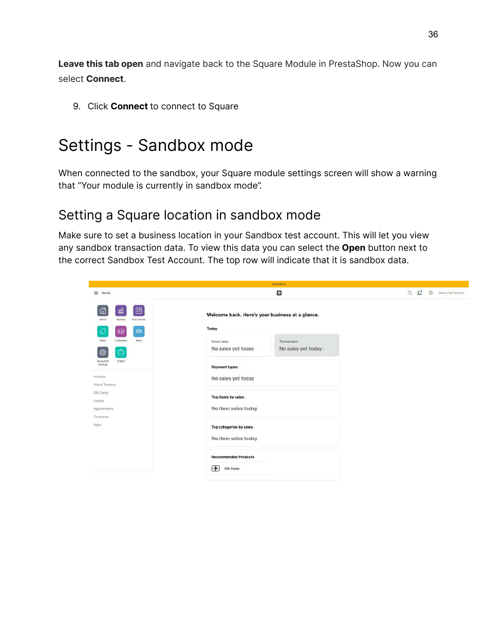**Leave this tab open** and navigate back to the Square Module in PrestaShop. Now you can select **Connect**.

9. Click **Connect** to connect to Square

## Settings - Sandbox mode

When connected to the sandbox, your Square module settings screen will show a warning that "Your module is currently in sandbox mode".

#### Setting a Square location in sandbox mode

Make sure to set a business location in your Sandbox test account. This will let you view any sandbox transaction data. To view this data you can select the **Open** button next to the correct Sandbox Test Account. The top row will indicate that it is sandbox data.

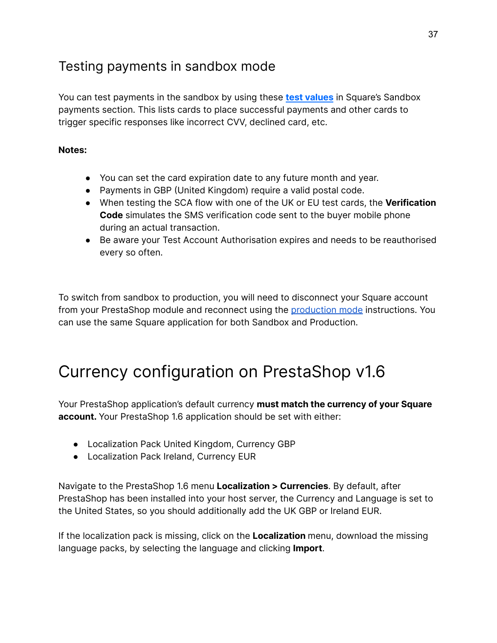## Testing payments in sandbox mode

You can test payments in the sandbox by using these **test [values](https://developer.squareup.com/docs/testing/test-values)** in Square's Sandbox payments section. This lists cards to place successful payments and other cards to trigger specific responses like incorrect CVV, declined card, etc.

#### **Notes:**

- You can set the card expiration date to any future month and year.
- Payments in GBP (United Kingdom) require a valid postal code.
- When testing the SCA flow with one of the UK or EU test cards, the **Verification Code** simulates the SMS verification code sent to the buyer mobile phone during an actual transaction.
- Be aware your Test Account Authorisation expires and needs to be reauthorised every so often.

To switch from sandbox to production, you will need to disconnect your Square account from your PrestaShop module and reconnect using the [production](https://docs.google.com/document/d/1Sece02Vjzoosvw4EMewRHurSUouZ19FhaFI308znhrs/edit#) mode instructions. You can use the same Square application for both Sandbox and Production.

## Currency configuration on PrestaShop v1.6

Your PrestaShop application's default currency **must match the currency of your Square account.** Your PrestaShop 1.6 application should be set with either:

- Localization Pack United Kingdom, Currency GBP
- Localization Pack Ireland, Currency EUR

Navigate to the PrestaShop 1.6 menu **Localization > Currencies**. By default, after PrestaShop has been installed into your host server, the Currency and Language is set to the United States, so you should additionally add the UK GBP or Ireland EUR.

If the localization pack is missing, click on the **Localization** menu, download the missing language packs, by selecting the language and clicking **Import**.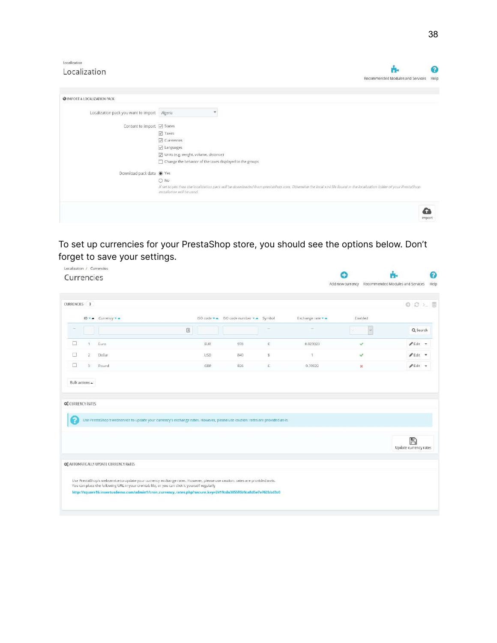| Localization                                 |                                                                                                                                                                                                 |        |
|----------------------------------------------|-------------------------------------------------------------------------------------------------------------------------------------------------------------------------------------------------|--------|
| Localization                                 |                                                                                                                                                                                                 | Q      |
|                                              | Recommended Modules and Services                                                                                                                                                                | Help   |
| @ IMPORT A LOCALIZATION PACK                 |                                                                                                                                                                                                 |        |
| Localization pack you want to import Algeria | ٠                                                                                                                                                                                               |        |
| Content to import 2 States                   |                                                                                                                                                                                                 |        |
|                                              | <b>Z</b> Taxes                                                                                                                                                                                  |        |
|                                              | Currencies                                                                                                                                                                                      |        |
|                                              | Languages                                                                                                                                                                                       |        |
|                                              | Units (e.g. weight, volume, distance)                                                                                                                                                           |        |
|                                              | Change the behavior of the taxes displayed to the groups                                                                                                                                        |        |
| Download pack data @ Yes                     |                                                                                                                                                                                                 |        |
|                                              | ONO                                                                                                                                                                                             |        |
|                                              | If set to yes then the localization pack will be downloaded from prestashop com. Otherwise the local xml file found in the localization folder of your PrestaShop<br>installation will be used. |        |
|                                              |                                                                                                                                                                                                 |        |
|                                              |                                                                                                                                                                                                 | Import |

To set up currencies for your PrestaShop store, you should see the options below. Don't forget to save your settings.

|   |                |                                                                                                                                                                                                                            |            |                                     |   |                   | Add new currency Recommended Modules and Services | Help                             |
|---|----------------|----------------------------------------------------------------------------------------------------------------------------------------------------------------------------------------------------------------------------|------------|-------------------------------------|---|-------------------|---------------------------------------------------|----------------------------------|
|   | CURRENCIES 3   |                                                                                                                                                                                                                            |            |                                     |   |                   |                                                   | 0C <sub>2</sub>                  |
|   |                | ID . Currency .                                                                                                                                                                                                            |            | ISO code . ISO code number . Symbol |   | Exchange rate * * | Enabled                                           |                                  |
|   |                | E)                                                                                                                                                                                                                         |            |                                     | ۰ |                   | D.<br>œ                                           | Q Search                         |
| □ | n,             | Euro                                                                                                                                                                                                                       | EUR        | 978                                 | € | 0.823323          | v.                                                | $P$ Edit $\rightarrow$           |
| п | ž.             | Dollar                                                                                                                                                                                                                     | <b>USD</b> | 840                                 | s | 3                 | $\checkmark$                                      | $\ell$ Edit $\star$              |
| п | $\frac{11}{2}$ | Pound                                                                                                                                                                                                                      | GBP        | 826                                 | £ | 0.70922           | $\mathbf x$                                       | $\mathscr{F}$ Edit $\mathscr{F}$ |
|   |                | Use PrestaShop's webservice to update your currency's exchange rates. However, please use caution: rates are provided as-is.                                                                                               |            |                                     |   |                   |                                                   |                                  |
|   |                |                                                                                                                                                                                                                            |            |                                     |   |                   |                                                   | ⊞<br>Update currency rates       |
|   |                | OF AUTOMATICALLY UPDATE CURRENCY RATES                                                                                                                                                                                     |            |                                     |   |                   |                                                   |                                  |
|   |                | Use PrestaShop's webservice to update your currency exchange rates. However, please use caution: rates are provided as-is.<br>You can place the following URL in your crontab file, or you can click it yourself regularly |            |                                     |   |                   |                                                   |                                  |
|   |                | http://square16.invertusdemo.com/admin1/cron_currency_rates.php?secure_key=2419cda3855f6b9ca8d5e7e762bbd2c0                                                                                                                |            |                                     |   |                   |                                                   |                                  |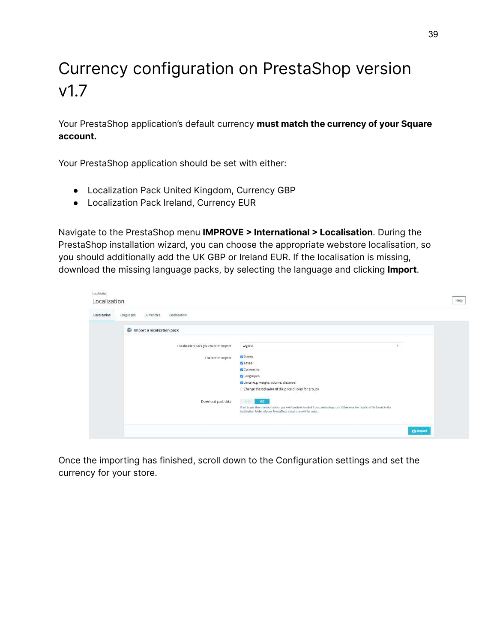# Currency configuration on PrestaShop version v1.7

Your PrestaShop application's default currency **must match the currency of your Square account.**

Your PrestaShop application should be set with either:

- Localization Pack United Kingdom, Currency GBP
- Localization Pack Ireland, Currency EUR

Navigate to the PrestaShop menu **IMPROVE > International > Localisation**. During the PrestaShop installation wizard, you can choose the appropriate webstore localisation, so you should additionally add the UK GBP or Ireland EUR. If the localisation is missing, download the missing language packs, by selecting the language and clicking **Import**.

| Localization<br>Localization |                                        |                                                                                                                                                                                                 |                  |
|------------------------------|----------------------------------------|-------------------------------------------------------------------------------------------------------------------------------------------------------------------------------------------------|------------------|
| Localization                 | Currencies<br>Geolocation<br>Languages |                                                                                                                                                                                                 |                  |
|                              | Import a localization pack             |                                                                                                                                                                                                 |                  |
|                              | Localization pack you want to import   | Algeria<br>$\sim$                                                                                                                                                                               |                  |
|                              | Content to import                      | <b>D</b> States                                                                                                                                                                                 |                  |
|                              |                                        | <b>D</b> Taxes                                                                                                                                                                                  |                  |
|                              |                                        | <b>C</b> Currencies                                                                                                                                                                             |                  |
|                              |                                        | <b>C</b> Languages<br>Units (e.g. weight, volume, distance)                                                                                                                                     |                  |
|                              |                                        | Change the behavior of the price display for groups                                                                                                                                             |                  |
|                              | Download pack data                     | A(C)<br><b>YES</b>                                                                                                                                                                              |                  |
|                              |                                        | If set to yes then the localization pack will be downloaded from prestashop.com. Otherwise the local xml file found in the<br>localization folder of your PrestaShop Installation will be used. |                  |
|                              |                                        |                                                                                                                                                                                                 | <b>Ch</b> import |

Once the importing has finished, scroll down to the Configuration settings and set the currency for your store.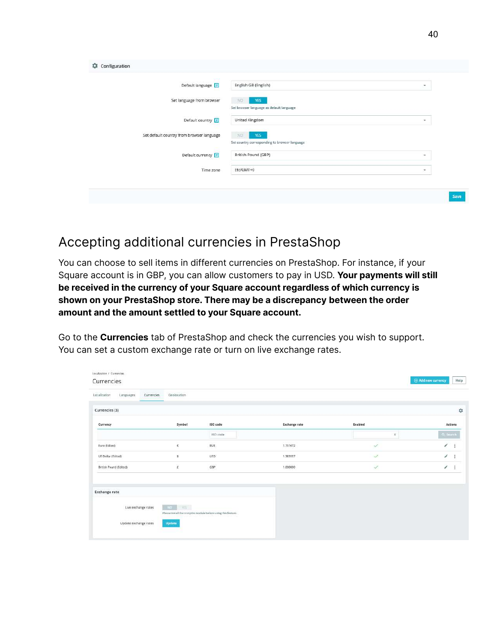| Default language                          | English GB (English)                                          | ۰                        |
|-------------------------------------------|---------------------------------------------------------------|--------------------------|
| Set language from browser                 | NO.<br><b>YES</b><br>Set browser language as default language |                          |
| Default country                           | United Kingdom                                                | $\;$                     |
| Set default country from browser language | YES<br>NO<br>Set country corresponding to browser language    |                          |
| Default currency ?                        | British Pound (GBP)                                           | $\overline{\phantom{a}}$ |
| Time zone                                 | Etc/GMT+0                                                     | $\scriptstyle\rm w$      |

## Accepting additional currencies in PrestaShop

You can choose to sell items in different currencies on PrestaShop. For instance, if your Square account is in GBP, you can allow customers to pay in USD. **Your payments will still be received in the currency of your Square account regardless of which currency is shown on your PrestaShop store. There may be a discrepancy between the order amount and the amount settled to your Square account.**

Go to the **Currencies** tab of PrestaShop and check the currencies you wish to support. You can set a custom exchange rate or turn on live exchange rates.

| Localization<br>Languages | Geolocation<br>Currencies |                                                               |                      |                  |                             |
|---------------------------|---------------------------|---------------------------------------------------------------|----------------------|------------------|-----------------------------|
| Currencies (3)            |                           |                                                               |                      |                  | $\mathbb{Z}_p^{\mathsf{G}}$ |
| Currency                  | Symbol                    | ISO code                                                      | <b>Exchange rate</b> | Enabled          | Actions                     |
|                           |                           | ISO code                                                      |                      | $\ddot{\bullet}$ | Q. Search                   |
| Euro (Edited)             | $\mathfrak{C}_i$          | <b>EUR</b>                                                    | 1.151672             | $\checkmark$     | ı<br>÷                      |
| US Dollar (Edited)        | š.                        | USD                                                           | 1,383557             | $\checkmark$     | ı<br>÷                      |
| British Pound (Edited)    | ż                         | GBP                                                           | 1,000000             | J.               | ì<br>$\ddot{z}$             |
|                           |                           |                                                               |                      |                  |                             |
| <b>Exchange rate</b>      |                           |                                                               |                      |                  |                             |
| Live exchange rates       | YES !<br>H <sup>o</sup>   |                                                               |                      |                  |                             |
|                           |                           | Please tratall the cronipbs module before using this feature. |                      |                  |                             |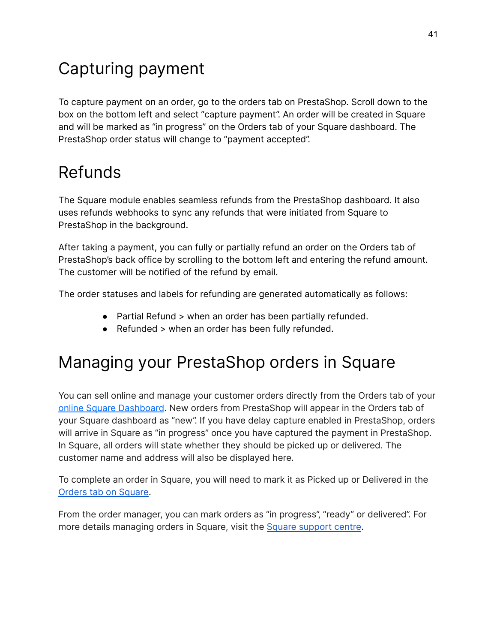# <span id="page-40-0"></span>Capturing payment

To capture payment on an order, go to the orders tab on PrestaShop. Scroll down to the box on the bottom left and select "capture payment". An order will be created in Square and will be marked as "in progress" on the Orders tab of your Square dashboard. The PrestaShop order status will change to "payment accepted".

# Refunds

The Square module enables seamless refunds from the PrestaShop dashboard. It also uses refunds webhooks to sync any refunds that were initiated from Square to PrestaShop in the background.

After taking a payment, you can fully or partially refund an order on the Orders tab of PrestaShop's back office by scrolling to the bottom left and entering the refund amount. The customer will be notified of the refund by email.

The order statuses and labels for refunding are generated automatically as follows:

- Partial Refund > when an order has been partially refunded.
- Refunded > when an order has been fully refunded.

# Managing your PrestaShop orders in Square

You can sell online and manage your customer orders directly from the Orders tab of your online Square [Dashboard](https://squareup.com/dashboard/orders/overview). New orders from PrestaShop will appear in the Orders tab of your Square dashboard as "new". If you have delay capture enabled in PrestaShop, orders will arrive in Square as "in progress" once you have captured the payment in PrestaShop. In Square, all orders will state whether they should be picked up or delivered. The customer name and address will also be displayed here.

To complete an order in Square, you will need to mark it as Picked up or Delivered in the Orders tab on [Square](https://squareup.com/dashboard/orders/overview).

From the order manager, you can mark orders as "in progress", "ready" or delivered". For more details managing orders in Square, visit the Square [support](https://squareup.com/help/gb/en/article/6695-manage-your-online-orders-with-square) centre.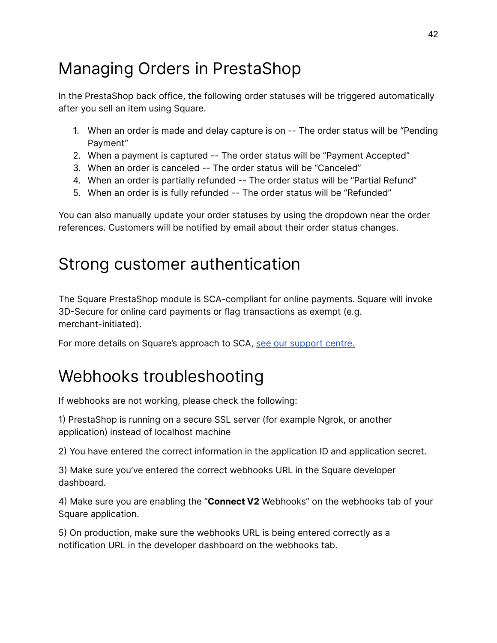# Managing Orders in PrestaShop

In the PrestaShop back office, the following order statuses will be triggered automatically after you sell an item using Square.

- 1. When an order is made and delay capture is on -- The order status will be "Pending Payment"
- 2. When a payment is captured -- The order status will be "Payment Accepted"
- 3. When an order is canceled -- The order status will be "Canceled"
- 4. When an order is partially refunded -- The order status will be "Partial Refund"
- 5. When an order is is fully refunded -- The order status will be "Refunded"

You can also manually update your order statuses by using the dropdown near the order references. Customers will be notified by email about their order status changes.

## Strong customer authentication

The Square PrestaShop module is SCA-compliant for online payments. Square will invoke 3D-Secure for online card payments or flag transactions as exempt (e.g. merchant-initiated).

For more details on Square's approach to SCA, see our [support](https://squareup.com/help/gb/en/article/7373-strong-customer-authentication-faq) centre.

# <span id="page-41-0"></span>Webhooks troubleshooting

If webhooks are not working, please check the following:

1) PrestaShop is running on a secure SSL server (for example Ngrok, or another application) instead of localhost machine

2) You have entered the correct information in the application ID and application secret.

3) Make sure you've entered the correct webhooks URL in the Square developer dashboard.

4) Make sure you are enabling the "**Connect V2** Webhooks" on the webhooks tab of your Square application.

5) On production, make sure the webhooks URL is being entered correctly as a notification URL in the developer dashboard on the webhooks tab.